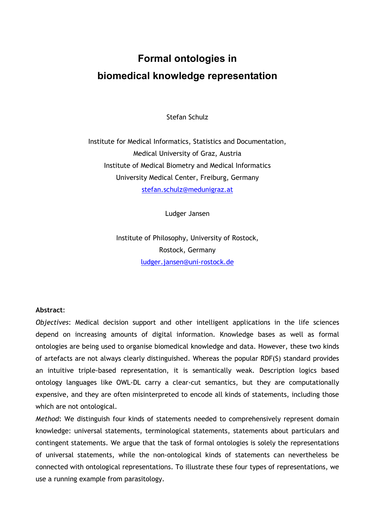# <span id="page-0-0"></span>**Formal ontologies in biomedical knowledge representation**

Stefan Schulz

Institute for Medical Informatics, Statistics and Documentation, Medical University of Graz, Austria Institute of Medical Biometry and Medical Informatics University Medical Center, Freiburg, Germany [stefan.schulz@medunigraz.at](mailto:stefan.schulz@medunigraz.at)

Ludger Jansen

Institute of Philosophy, University of Rostock, Rostock, Germany [ludger.jansen@uni-rostock.de](mailto:ludger.jansen@uni-rostock.de)

#### **Abstract**:

*Objectives*: Medical decision support and other intelligent applications in the life sciences depend on increasing amounts of digital information. Knowledge bases as well as formal ontologies are being used to organise biomedical knowledge and data. However, these two kinds of artefacts are not always clearly distinguished. Whereas the popular RDF(S) standard provides an intuitive triple-based representation, it is semantically weak. Description logics based ontology languages like OWL-DL carry a clear-cut semantics, but they are computationally expensive, and they are often misinterpreted to encode all kinds of statements, including those which are not ontological.

*Method*: We distinguish four kinds of statements needed to comprehensively represent domain knowledge: universal statements, terminological statements, statements about particulars and contingent statements. We argue that the task of formal ontologies is solely the representations of universal statements, while the non-ontological kinds of statements can nevertheless be connected with ontological representations. To illustrate these four types of representations, we use a running example from parasitology.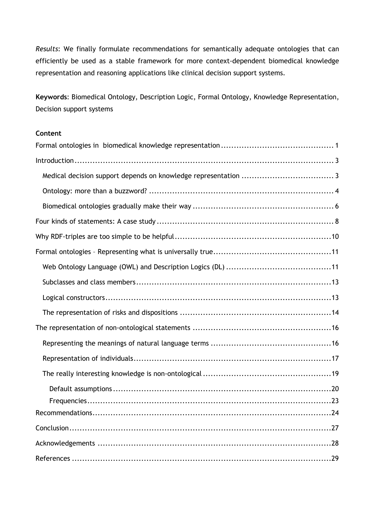*Results*: We finally formulate recommendations for semantically adequate ontologies that can efficiently be used as a stable framework for more context-dependent biomedical knowledge representation and reasoning applications like clinical decision support systems.

**Keywords**: Biomedical Ontology, Description Logic, Formal Ontology, Knowledge Representation, Decision support systems

#### **Content**

| $Introduction \dots 3$ |
|------------------------|
|                        |
|                        |
|                        |
|                        |
|                        |
|                        |
|                        |
|                        |
|                        |
|                        |
|                        |
|                        |
|                        |
|                        |
|                        |
|                        |
|                        |
|                        |
|                        |
|                        |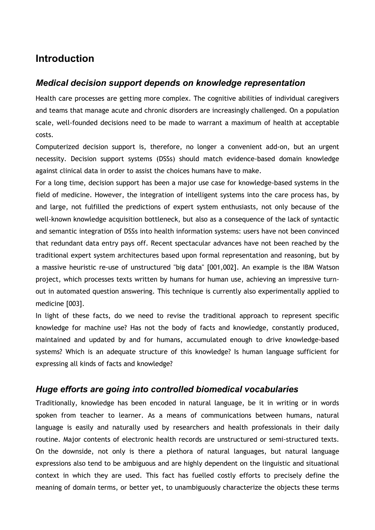## <span id="page-2-0"></span>**Introduction**

#### <span id="page-2-1"></span>*Medical decision support depends on knowledge representation*

Health care processes are getting more complex. The cognitive abilities of individual caregivers and teams that manage acute and chronic disorders are increasingly challenged. On a population scale, well-founded decisions need to be made to warrant a maximum of health at acceptable costs.

Computerized decision support is, therefore, no longer a convenient add-on, but an urgent necessity. Decision support systems (DSSs) should match evidence-based domain knowledge against clinical data in order to assist the choices humans have to make.

For a long time, decision support has been a major use case for knowledge-based systems in the field of medicine. However, the integration of intelligent systems into the care process has, by and large, not fulfilled the predictions of expert system enthusiasts, not only because of the well-known knowledge acquisition bottleneck, but also as a consequence of the lack of syntactic and semantic integration of DSSs into health information systems: users have not been convinced that redundant data entry pays off. Recent spectacular advances have not been reached by the traditional expert system architectures based upon formal representation and reasoning, but by a massive heuristic re-use of unstructured "big data" [001,002]. An example is the IBM Watson project, which processes texts written by humans for human use, achieving an impressive turnout in automated question answering. This technique is currently also experimentally applied to medicine [003].

In light of these facts, do we need to revise the traditional approach to represent specific knowledge for machine use? Has not the body of facts and knowledge, constantly produced, maintained and updated by and for humans, accumulated enough to drive knowledge-based systems? Which is an adequate structure of this knowledge? Is human language sufficient for expressing all kinds of facts and knowledge?

## *Huge efforts are going into controlled biomedical vocabularies*

Traditionally, knowledge has been encoded in natural language, be it in writing or in words spoken from teacher to learner. As a means of communications between humans, natural language is easily and naturally used by researchers and health professionals in their daily routine. Major contents of electronic health records are unstructured or semi-structured texts. On the downside, not only is there a plethora of natural languages, but natural language expressions also tend to be ambiguous and are highly dependent on the linguistic and situational context in which they are used. This fact has fuelled costly efforts to precisely define the meaning of domain terms, or better yet, to unambiguously characterize the objects these terms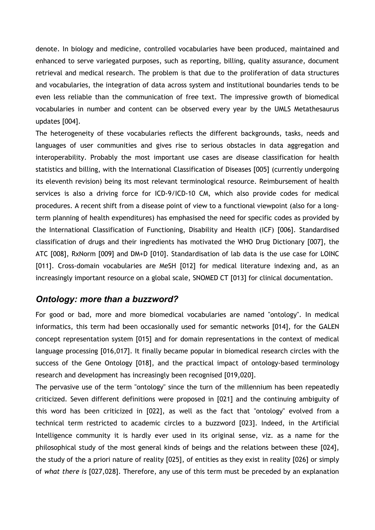denote. In biology and medicine, controlled vocabularies have been produced, maintained and enhanced to serve variegated purposes, such as reporting, billing, quality assurance, document retrieval and medical research. The problem is that due to the proliferation of data structures and vocabularies, the integration of data across system and institutional boundaries tends to be even less reliable than the communication of free text. The impressive growth of biomedical vocabularies in number and content can be observed every year by the UMLS Metathesaurus updates [004].

The heterogeneity of these vocabularies reflects the different backgrounds, tasks, needs and languages of user communities and gives rise to serious obstacles in data aggregation and interoperability. Probably the most important use cases are disease classification for health statistics and billing, with the International Classification of Diseases [005] (currently undergoing its eleventh revision) being its most relevant terminological resource. Reimbursement of health services is also a driving force for ICD-9/ICD-10 CM, which also provide codes for medical procedures. A recent shift from a disease point of view to a functional viewpoint (also for a longterm planning of health expenditures) has emphasised the need for specific codes as provided by the International Classification of Functioning, Disability and Health (ICF) [006]. Standardised classification of drugs and their ingredients has motivated the WHO Drug Dictionary [007], the ATC [008], RxNorm [009] and DM+D [010]. Standardisation of lab data is the use case for LOINC [011]. Cross-domain vocabularies are MeSH [012] for medical literature indexing and, as an increasingly important resource on a global scale, SNOMED CT [013] for clinical documentation.

## <span id="page-3-0"></span>*Ontology: more than a buzzword?*

For good or bad, more and more biomedical vocabularies are named "ontology". In medical informatics, this term had been occasionally used for semantic networks [014], for the GALEN concept representation system [015] and for domain representations in the context of medical language processing [016,017]. It finally became popular in biomedical research circles with the success of the Gene Ontology [018], and the practical impact of ontology-based terminology research and development has increasingly been recognised [019,020].

The pervasive use of the term "ontology" since the turn of the millennium has been repeatedly criticized. Seven different definitions were proposed in [021] and the continuing ambiguity of this word has been criticized in [022], as well as the fact that "ontology" evolved from a technical term restricted to academic circles to a buzzword [023]. Indeed, in the Artificial Intelligence community it is hardly ever used in its original sense, viz. as a name for the philosophical study of the most general kinds of beings and the relations between these [024], the study of the a priori nature of reality [025], of entities as they exist in reality [026] or simply of *what there is* [027,028]. Therefore, any use of this term must be preceded by an explanation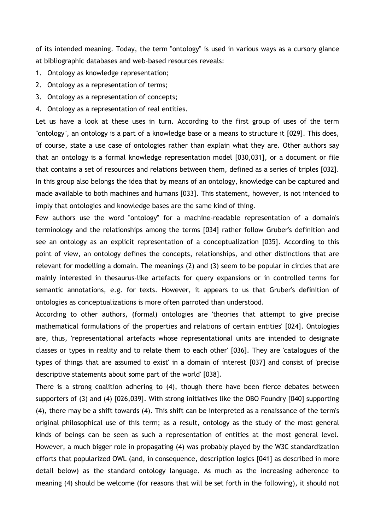of its intended meaning. Today, the term "ontology" is used in various ways as a cursory glance at bibliographic databases and web-based resources reveals:

- 1. Ontology as knowledge representation;
- 2. Ontology as a representation of terms;
- 3. Ontology as a representation of concepts;
- 4. Ontology as a representation of real entities.

Let us have a look at these uses in turn. According to the first group of uses of the term "ontology", an ontology is a part of a knowledge base or a means to structure it [029]. This does, of course, state a use case of ontologies rather than explain what they are. Other authors say that an ontology is a formal knowledge representation model [030,031], or a document or file that contains a set of resources and relations between them, defined as a series of triples [032]. In this group also belongs the idea that by means of an ontology, knowledge can be captured and made available to both machines and humans [033]. This statement, however, is not intended to imply that ontologies and knowledge bases are the same kind of thing.

Few authors use the word "ontology" for a machine-readable representation of a domain's terminology and the relationships among the terms [034] rather follow Gruber's definition and see an ontology as an explicit representation of a conceptualization [035]. According to this point of view, an ontology defines the concepts, relationships, and other distinctions that are relevant for modelling a domain. The meanings (2) and (3) seem to be popular in circles that are mainly interested in thesaurus-like artefacts for query expansions or in controlled terms for semantic annotations, e.g. for texts. However, it appears to us that Gruber's definition of ontologies as conceptualizations is more often parroted than understood.

According to other authors, (formal) ontologies are 'theories that attempt to give precise mathematical formulations of the properties and relations of certain entities' [024]. Ontologies are, thus, 'representational artefacts whose representational units are intended to designate classes or types in reality and to relate them to each other' [036]. They are 'catalogues of the types of things that are assumed to exist' in a domain of interest [037] and consist of 'precise descriptive statements about some part of the world' [038].

There is a strong coalition adhering to (4), though there have been fierce debates between supporters of (3) and (4) [026,039]. With strong initiatives like the OBO Foundry [040] supporting (4), there may be a shift towards (4). This shift can be interpreted as a renaissance of the term's original philosophical use of this term; as a result, ontology as the study of the most general kinds of beings can be seen as such a representation of entities at the most general level. However, a much bigger role in propagating (4) was probably played by the W3C standardization efforts that popularized OWL (and, in consequence, description logics [041] as described in more detail below) as the standard ontology language. As much as the increasing adherence to meaning (4) should be welcome (for reasons that will be set forth in the following), it should not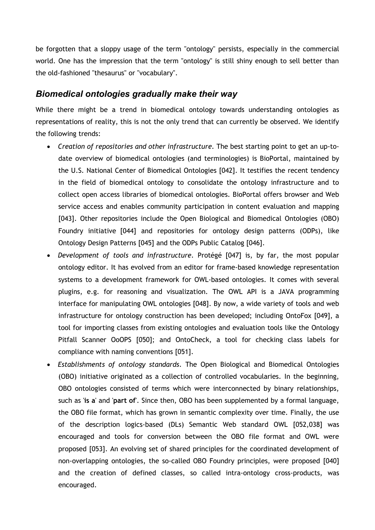be forgotten that a sloppy usage of the term "ontology" persists, especially in the commercial world. One has the impression that the term "ontology" is still shiny enough to sell better than the old-fashioned "thesaurus" or "vocabulary".

## <span id="page-5-0"></span>*Biomedical ontologies gradually make their way*

While there might be a trend in biomedical ontology towards understanding ontologies as representations of reality, this is not the only trend that can currently be observed. We identify the following trends:

- *Creation of repositories and other infrastructure.* The best starting point to get an up-todate overview of biomedical ontologies (and terminologies) is BioPortal, maintained by the U.S. National Center of Biomedical Ontologies [042]. It testifies the recent tendency in the field of biomedical ontology to consolidate the ontology infrastructure and to collect open access libraries of biomedical ontologies. BioPortal offers browser and Web service access and enables community participation in content evaluation and mapping [043]. Other repositories include the Open Biological and Biomedical Ontologies (OBO) Foundry initiative [044] and repositories for ontology design patterns (ODPs), like Ontology Design Patterns [045] and the ODPs Public Catalog [046].
- *Development of tools and infrastructure.* Protégé [047] is, by far, the most popular ontology editor. It has evolved from an editor for frame-based knowledge representation systems to a development framework for OWL-based ontologies. It comes with several plugins, e.g. for reasoning and visualization. The OWL API is a JAVA programming interface for manipulating OWL ontologies [048]. By now, a wide variety of tools and web infrastructure for ontology construction has been developed; including OntoFox [049], a tool for importing classes from existing ontologies and evaluation tools like the Ontology Pitfall Scanner OoOPS [050]; and OntoCheck, a tool for checking class labels for compliance with naming conventions [051].
- *Establishments of ontology standards*. The Open Biological and Biomedical Ontologies (OBO) initiative originated as a collection of controlled vocabularies. In the beginning, OBO ontologies consisted of terms which were interconnected by binary relationships, such as '**is a**' and '**part of**'. Since then, OBO has been supplemented by a formal language, the OBO file format, which has grown in semantic complexity over time. Finally, the use of the description logics-based (DLs) Semantic Web standard OWL [052,038] was encouraged and tools for conversion between the OBO file format and OWL were proposed [053]. An evolving set of shared principles for the coordinated development of non-overlapping ontologies, the so-called OBO Foundry principles, were proposed [040] and the creation of defined classes, so called intra-ontology cross-products, was encouraged.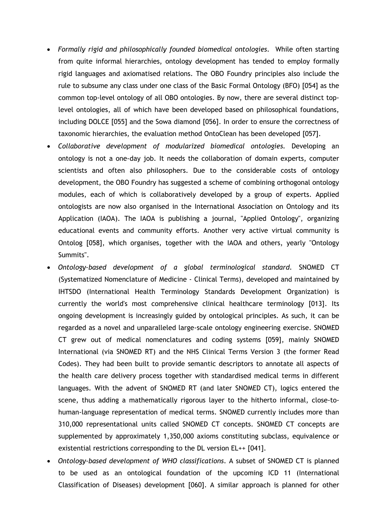- *Formally rigid and philosophically founded biomedical ontologies.* While often starting from quite informal hierarchies, ontology development has tended to employ formally rigid languages and axiomatised relations. The OBO Foundry principles also include the rule to subsume any class under one class of the Basic Formal Ontology (BFO) [054] as the common top-level ontology of all OBO ontologies. By now, there are several distinct toplevel ontologies, all of which have been developed based on philosophical foundations, including DOLCE [055] and the Sowa diamond [056]. In order to ensure the correctness of taxonomic hierarchies, the evaluation method OntoClean has been developed [057].
- *Collaborative development of modularized biomedical ontologies.* Developing an ontology is not a one-day job. It needs the collaboration of domain experts, computer scientists and often also philosophers. Due to the considerable costs of ontology development, the OBO Foundry has suggested a scheme of combining orthogonal ontology modules, each of which is collaboratively developed by a group of experts. Applied ontologists are now also organised in the International Association on Ontology and its Application (IAOA). The IAOA is publishing a journal, "Applied Ontology", organizing educational events and community efforts. Another very active virtual community is Ontolog [058], which organises, together with the IAOA and others, yearly "Ontology Summits".
- *Ontology-based development of a global terminological standard.* SNOMED CT (Systematized Nomenclature of Medicine - Clinical Terms), developed and maintained by IHTSDO (International Health Terminology Standards Development Organization) is currently the world's most comprehensive clinical healthcare terminology [013]. Its ongoing development is increasingly guided by ontological principles. As such, it can be regarded as a novel and unparalleled large-scale ontology engineering exercise. SNOMED CT grew out of medical nomenclatures and coding systems [059], mainly SNOMED International (via SNOMED RT) and the NHS Clinical Terms Version 3 (the former Read Codes). They had been built to provide semantic descriptors to annotate all aspects of the health care delivery process together with standardised medical terms in different languages. With the advent of SNOMED RT (and later SNOMED CT), logics entered the scene, thus adding a mathematically rigorous layer to the hitherto informal, close-tohuman-language representation of medical terms. SNOMED currently includes more than 310,000 representational units called SNOMED CT concepts. SNOMED CT concepts are supplemented by approximately 1,350,000 axioms constituting subclass, equivalence or existential restrictions corresponding to the DL version EL++ [041].
- *Ontology-based development of WHO classifications*. A subset of SNOMED CT is planned to be used as an ontological foundation of the upcoming ICD 11 (International Classification of Diseases) development [060]. A similar approach is planned for other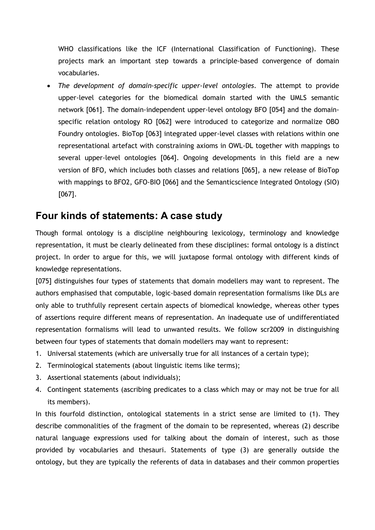WHO classifications like the ICF (International Classification of Functioning). These projects mark an important step towards a principle-based convergence of domain vocabularies.

• *The development of domain-specific upper-level ontologies*. The attempt to provide upper-level categories for the biomedical domain started with the UMLS semantic network [061]. The domain-independent upper-level ontology BFO [054] and the domainspecific relation ontology RO [062] were introduced to categorize and normalize OBO Foundry ontologies. BioTop [063] integrated upper-level classes with relations within one representational artefact with constraining axioms in OWL-DL together with mappings to several upper-level ontologies [064]. Ongoing developments in this field are a new version of BFO, which includes both classes and relations [065], a new release of BioTop with mappings to BFO2, GFO-BIO [066] and the Semanticscience Integrated Ontology (SIO) [067].

## <span id="page-7-0"></span>**Four kinds of statements: A case study**

Though formal ontology is a discipline neighbouring lexicology, terminology and knowledge representation, it must be clearly delineated from these disciplines: formal ontology is a distinct project. In order to argue for this, we will juxtapose formal ontology with different kinds of knowledge representations.

[075] distinguishes four types of statements that domain modellers may want to represent. The authors emphasised that computable, logic-based domain representation formalisms like DLs are only able to truthfully represent certain aspects of biomedical knowledge, whereas other types of assertions require different means of representation. An inadequate use of undifferentiated representation formalisms will lead to unwanted results. We follow scr2009 in distinguishing between four types of statements that domain modellers may want to represent:

- 1. Universal statements (which are universally true for all instances of a certain type);
- 2. Terminological statements (about linguistic items like terms);
- 3. Assertional statements (about individuals);
- 4. Contingent statements (ascribing predicates to a class which may or may not be true for all its members).

In this fourfold distinction, ontological statements in a strict sense are limited to (1). They describe commonalities of the fragment of the domain to be represented, whereas (2) describe natural language expressions used for talking about the domain of interest, such as those provided by vocabularies and thesauri. Statements of type (3) are generally outside the ontology, but they are typically the referents of data in databases and their common properties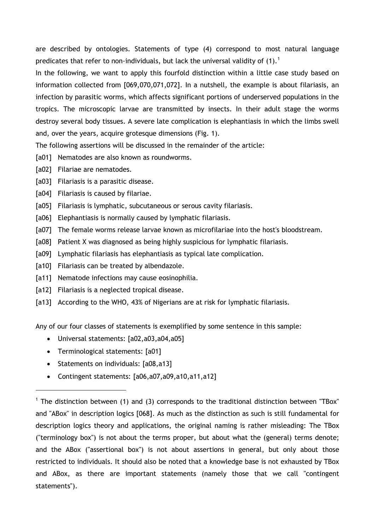are described by ontologies. Statements of type (4) correspond to most natural language predicates that refer to non-individuals, but lack the universal validity of  $(1).$  $(1).$  $(1).$ <sup>1</sup>

In the following, we want to apply this fourfold distinction within a little case study based on information collected from [069,070,071,072]. In a nutshell, the example is about filariasis, an infection by parasitic worms, which affects significant portions of underserved populations in the tropics. The microscopic larvae are transmitted by insects. In their adult stage the worms destroy several body tissues. A severe late complication is elephantiasis in which the limbs swell and, over the years, acquire grotesque dimensions (Fig. 1).

The following assertions will be discussed in the remainder of the article:

- [a01] Nematodes are also known as roundworms.
- [a02] Filariae are nematodes.
- [a03] Filariasis is a parasitic disease.
- [a04] Filariasis is caused by filariae.
- [a05] Filariasis is lymphatic, subcutaneous or serous cavity filariasis.
- [a06] Elephantiasis is normally caused by lymphatic filariasis.
- [a07] The female worms release larvae known as microfilariae into the host's bloodstream.
- [a08] Patient X was diagnosed as being highly suspicious for lymphatic filariasis.
- [a09] Lymphatic filariasis has elephantiasis as typical late complication.
- [a10] Filariasis can be treated by albendazole.
- [a11] Nematode infections may cause eosinophilia.
- [a12] Filariasis is a neglected tropical disease.
- [a13] According to the WHO, 43% of Nigerians are at risk for lymphatic filariasis.

Any of our four classes of statements is exemplified by some sentence in this sample:

- Universal statements: [a02,a03,a04,a05]
- Terminological statements: [a01]

-

- Statements on individuals: [a08,a13]
- Contingent statements: [a06,a07,a09,a10,a11,a12]

<span id="page-8-0"></span><sup>&</sup>lt;sup>1</sup> The distinction between (1) and (3) corresponds to the traditional distinction between "TBox" and "ABox" in description logics [068]. As much as the distinction as such is still fundamental for description logics theory and applications, the original naming is rather misleading: The TBox ("terminology box") is not about the terms proper, but about what the (general) terms denote; and the ABox ("assertional box") is not about assertions in general, but only about those restricted to individuals. It should also be noted that a knowledge base is not exhausted by TBox and ABox, as there are important statements (namely those that we call "contingent statements").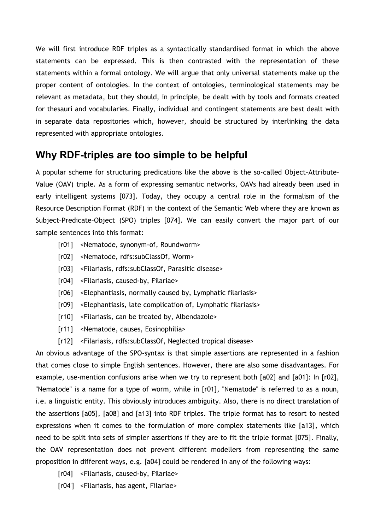We will first introduce RDF triples as a syntactically standardised format in which the above statements can be expressed. This is then contrasted with the representation of these statements within a formal ontology. We will argue that only universal statements make up the proper content of ontologies. In the context of ontologies, terminological statements may be relevant as metadata, but they should, in principle, be dealt with by tools and formats created for thesauri and vocabularies. Finally, individual and contingent statements are best dealt with in separate data repositories which, however, should be structured by interlinking the data represented with appropriate ontologies.

## <span id="page-9-0"></span>**Why RDF-triples are too simple to be helpful**

A popular scheme for structuring predications like the above is the so-called Object–Attribute– Value (OAV) triple. As a form of expressing semantic networks, OAVs had already been used in early intelligent systems [073]. Today, they occupy a central role in the formalism of the Resource Description Format (RDF) in the context of the Semantic Web where they are known as Subject–Predicate–Object (SPO) triples [074]. We can easily convert the major part of our sample sentences into this format:

- [r01] <Nematode, synonym-of, Roundworm>
- [r02] <Nematode, [rdfs:subClassOf,](http://www.w3.org/TR/rdf-schema/#ch_subclassof) Worm>
- [r03] <Filariasis, [rdfs:subClassOf,](http://www.w3.org/TR/rdf-schema/#ch_subclassof) Parasitic disease>
- [r04] <Filariasis, caused-by, Filariae>
- [r06] <Elephantiasis, normally caused by, Lymphatic filariasis>
- [r09] <Elephantiasis, late complication of, Lymphatic filariasis>
- [r10] <Filariasis, can be treated by, Albendazole>
- [r11] <Nematode, causes, Eosinophilia>
- [r12] <Filariasis, [rdfs:subClassOf,](http://www.w3.org/TR/rdf-schema/#ch_subclassof) Neglected tropical disease>

An obvious advantage of the SPO-syntax is that simple assertions are represented in a fashion that comes close to simple English sentences. However, there are also some disadvantages. For example, use-mention confusions arise when we try to represent both [a02] and [a01]: In [r02], "Nematode" is a name for a type of worm, while in [r01], "Nematode" is referred to as a noun, i.e. a linguistic entity. This obviously introduces ambiguity. Also, there is no direct translation of the assertions [a05], [a08] and [a13] into RDF triples. The triple format has to resort to nested expressions when it comes to the formulation of more complex statements like [a13], which need to be split into sets of simpler assertions if they are to fit the triple format [075]. Finally, the OAV representation does not prevent different modellers from representing the same proposition in different ways, e.g. [a04] could be rendered in any of the following ways:

- [r04] <Filariasis, caused-by, Filariae>
- [r04'] <Filariasis, has agent, Filariae>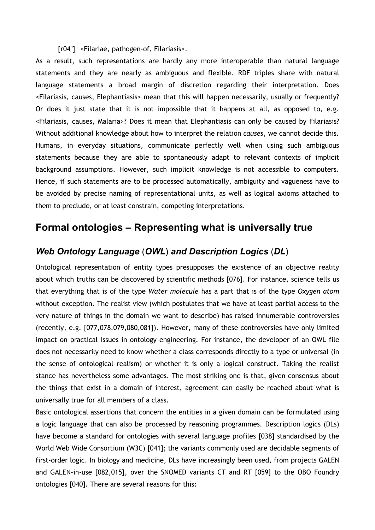[r04''] <Filariae, pathogen-of, Filariasis>.

As a result, such representations are hardly any more interoperable than natural language statements and they are nearly as ambiguous and flexible. RDF triples share with natural language statements a broad margin of discretion regarding their interpretation. Does <Filariasis, causes, Elephantiasis> mean that this will happen necessarily, usually or frequently? Or does it just state that it is not impossible that it happens at all, as opposed to, e.g. <Filariasis, causes, Malaria>? Does it mean that Elephantiasis can only be caused by Filariasis? Without additional knowledge about how to interpret the relation *causes*, we cannot decide this. Humans, in everyday situations, communicate perfectly well when using such ambiguous statements because they are able to spontaneously adapt to relevant contexts of implicit background assumptions. However, such implicit knowledge is not accessible to computers. Hence, if such statements are to be processed automatically, ambiguity and vagueness have to be avoided by precise naming of representational units, as well as logical axioms attached to them to preclude, or at least constrain, competing interpretations.

## <span id="page-10-0"></span>**Formal ontologies – Representing what is universally true**

#### <span id="page-10-1"></span>*Web Ontology Language* (*OWL*) *and Description Logics* (*DL*)

Ontological representation of entity types presupposes the existence of an objective reality about which truths can be discovered by scientific methods [076]. For instance, science tells us that everything that is of the type *Water molecule* has a part that is of the type *Oxygen atom* without exception. The realist view (which postulates that we have at least partial access to the very nature of things in the domain we want to describe) has raised innumerable controversies (recently, e.g. [077,078,079,080,081]). However, many of these controversies have only limited impact on practical issues in ontology engineering. For instance, the developer of an OWL file does not necessarily need to know whether a class corresponds directly to a type or universal (in the sense of ontological realism) or whether it is only a logical construct. Taking the realist stance has nevertheless some advantages. The most striking one is that, given consensus about the things that exist in a domain of interest, agreement can easily be reached about what is universally true for all members of a class.

Basic ontological assertions that concern the entities in a given domain can be formulated using a logic language that can also be processed by reasoning programmes. Description logics (DLs) have become a standard for ontologies with several language profiles [038] standardised by the World Web Wide Consortium (W3C) [041]; the variants commonly used are decidable segments of first-order logic. In biology and medicine, DLs have increasingly been used, from projects GALEN and GALEN-in-use [082,015], over the SNOMED variants CT and RT [059] to the OBO Foundry ontologies [040]. There are several reasons for this: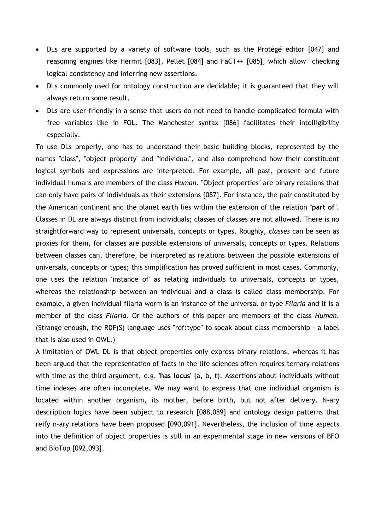- DLs are supported by a variety of software tools, such as the Protégé editor [047] and reasoning engines like Hermit [083], Pellet [084] and FaCT++ [085], which allow checking logical consistency and inferring new assertions.
- DLs commonly used for ontology construction are decidable; it is guaranteed that they will always return some result.
- DLs are user-friendly in a sense that users do not need to handle complicated formula with free variables like in FOL. The Manchester syntax [086] facilitates their intelligibility especially.

To use DLs properly, one has to understand their basic building blocks, represented by the names "class", "object property" and "individual", and also comprehend how their constituent logical symbols and expressions are interpreted. For example, all past, present and future individual humans are members of the class *Human*. "Object properties" are binary relations that can only have pairs of individuals as their extensions [087]. For instance, the pair constituted by the American continent and the planet earth lies within the extension of the relation "**part of**". Classes in DL are always distinct from individuals; classes of classes are not allowed. There is no straightforward way to represent universals, concepts or types. Roughly, *classes* can be seen as proxies for them, for classes are possible extensions of universals, concepts or types. Relations between classes can, therefore, be interpreted as relations between the possible extensions of universals, concepts or types; this simplification has proved sufficient in most cases. Commonly, one uses the relation 'instance of' as relating individuals to universals, concepts or types, whereas the relationship between an individual and a class is called class membership. For example, a given individual filaria worm is an instance of the universal or type *Filaria* and it is a member of the class *Filaria*. Or the authors of this paper are members of the class *Human*. (Strange enough, the RDF(S) language uses "rdf:type" to speak about class membership - a label that is also used in OWL.)

A limitation of OWL DL is that object properties only express binary relations, whereas it has been argued that the representation of facts in the life sciences often requires ternary relations with time as the third argument, e.g. '**has locus**' (a, b, t). Assertions about individuals without time indexes are often incomplete. We may want to express that one individual organism is located within another organism, its mother, before birth, but not after delivery. N-ary description logics have been subject to research [088,089] and ontology design patterns that reify n-ary relations have been proposed [090,091]. Nevertheless, the inclusion of time aspects into the definition of object properties is still in an experimental stage in new versions of BFO and BioTop [092,093].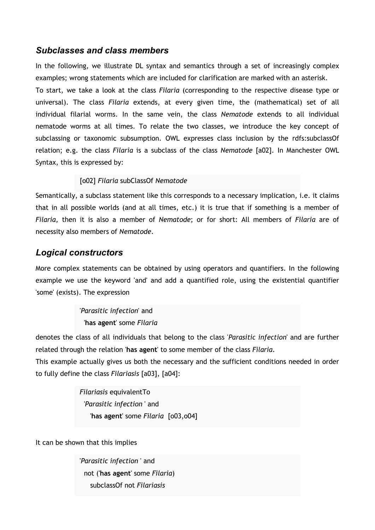#### <span id="page-12-0"></span>*Subclasses and class members*

In the following, we illustrate DL syntax and semantics through a set of increasingly complex examples; wrong statements which are included for clarification are marked with an asterisk. To start, we take a look at the class *Filaria* (corresponding to the respective disease type or universal). The class *Filaria* extends, at every given time, the (mathematical) set of all individual filarial worms. In the same vein, the class *Nematode* extends to all individual nematode worms at all times. To relate the two classes, we introduce the key concept of subclassing or taxonomic subsumption. OWL expresses class inclusion by the rdfs:subclassOf relation; e.g. the class *Filaria* is a subclass of the class *Nematode* [a02]*.* In Manchester OWL Syntax, this is expressed by:

#### [o02] *Filaria* subClassOf *Nematode*

Semantically, a subclass statement like this corresponds to a necessary implication, i.e. it claims that in all possible worlds (and at all times, etc.) it is true that if something is a member of *Filaria*, then it is also a member of *Nematode*; or for short: All members of *Filaria* are of necessity also members of *Nematode*.

#### <span id="page-12-1"></span>*Logical constructors*

More complex statements can be obtained by using operators and quantifiers. In the following example we use the keyword 'and' and add a quantified role, using the existential quantifier 'some' (exists). The expression

> '*Parasitic infection*' and '**has agent**' some *Filaria*

denotes the class of all individuals that belong to the class '*Parasitic infection*' and are further related through the relation '**has agent**' to some member of the class *Filaria*.

This example actually gives us both the necessary and the sufficient conditions needed in order to fully define the class *Filariasis* [a03], [a04]:

> *Filariasis* equivalentTo '*Parasitic infection* ' and '**has agent**' some *Filaria* [o03,o04]

It can be shown that this implies

'*Parasitic infection* ' and not ('**has agent**' some *Filaria*) subclassOf not *Filariasis*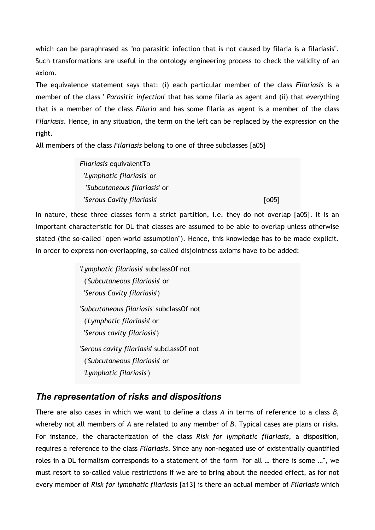which can be paraphrased as "no parasitic infection that is not caused by filaria is a filariasis". Such transformations are useful in the ontology engineering process to check the validity of an axiom.

The equivalence statement says that: (i) each particular member of the class *Filariasis* is a member of the class ' *Parasitic infection*' that has some filaria as agent and (ii) that everything that is a member of the class *Filaria* and has some filaria as agent is a member of the class *Filariasis*. Hence, in any situation, the term on the left can be replaced by the expression on the right.

All members of the class *Filariasis* belong to one of three subclasses [a05]

*Filariasis* equivalentTo '*Lymphatic filariasis*' or '*Subcutaneous filariasis*' or '*Serous Cavity filariasis*' [o05]

In nature, these three classes form a strict partition, i.e. they do not overlap [a05]. It is an important characteristic for DL that classes are assumed to be able to overlap unless otherwise stated (the so-called "open world assumption"). Hence, this knowledge has to be made explicit. In order to express non-overlapping, so-called disjointness axioms have to be added:

> '*Lymphatic filariasis*' subclassOf not ('*Subcutaneous filariasis*' or '*Serous Cavity filariasis*') '*Subcutaneous filariasis*' subclassOf not ('*Lymphatic filariasis*' or '*Serous cavity filariasis*') '*Serous cavity filariasis*' subclassOf not ('*Subcutaneous filariasis*' or *'Lymphatic filariasis*')

## <span id="page-13-0"></span>*The representation of risks and dispositions*

There are also cases in which we want to define a class *A* in terms of reference to a class *B*, whereby not all members of *A* are related to any member of *B*. Typical cases are plans or risks. For instance, the characterization of the class *Risk for lymphatic filariasis*, a disposition, requires a reference to the class *Filariasis*. Since any non-negated use of existentially quantified roles in a DL formalism corresponds to a statement of the form "for all … there is some …", we must resort to so-called value restrictions if we are to bring about the needed effect, as for not every member of *Risk for lymphatic filariasis* [a13] is there an actual member of *Filariasis* which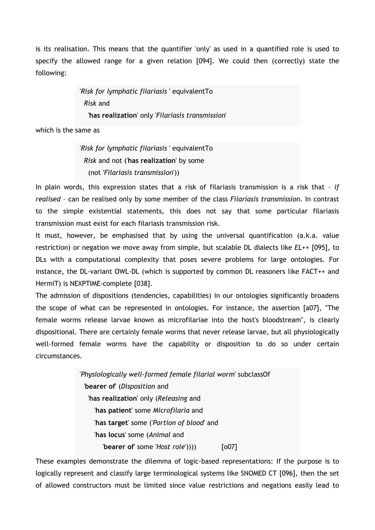is its realisation. This means that the quantifier 'only' as used in a quantified role is used to specify the allowed range for a given relation [094]. We could then (correctly) state the following:

> '*Risk for lymphatic filariasis* ' equivalentTo *Risk* and '**has realization**' only '*Filariasis transmission*'

which is the same as

'*Risk for lymphatic filariasis* ' equivalentTo *Risk* and not ('**has realization**' by some (not '*Filariasis transmission*'))

In plain words, this expression states that a risk of filariasis transmission is a risk that – *if realised* – can be realised only by some member of the class *Filariasis transmission*. In contrast to the simple existential statements, this does not say that some particular filariasis transmission must exist for each filariasis transmission risk.

It must, however, be emphasised that by using the universal quantification (a.k.a. value restriction) or negation we move away from simple, but scalable DL dialects like *EL++* [095], to DLs with a computational complexity that poses severe problems for large ontologies. For instance, the DL-variant OWL-DL (which is supported by common DL reasoners like FACT++ and HermiT) is NEXPTIME-complete [038].

The admission of dispositions (tendencies, capabilities) in our ontologies significantly broadens the scope of what can be represented in ontologies. For instance, the assertion [a07], "The female worms release larvae known as microfilariae into the host's bloodstream", is clearly dispositional. There are certainly female worms that never release larvae, but all physiologically well-formed female worms have the capability or disposition to do so under certain circumstances.

> '*Physiologically well-formed female filarial worm*' subclassOf '**bearer of**' (*Disposition* and '**has realization**' only (*Releasing* and '**has patient**' some *Microfilaria* and '**has target**' some ('*Portion of blood*' and '**has locus**' some (*Animal* and '**bearer of**' some '*Host role*')))) [o07]

These examples demonstrate the dilemma of logic-based representations: If the purpose is to logically represent and classify large terminological systems like SNOMED CT [096], then the set of allowed constructors must be limited since value restrictions and negations easily lead to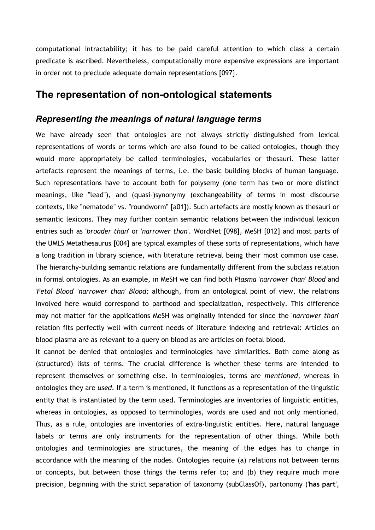computational intractability; it has to be paid careful attention to which class a certain predicate is ascribed. Nevertheless, computationally more expensive expressions are important in order not to preclude adequate domain representations [097].

## <span id="page-15-0"></span>**The representation of non-ontological statements**

#### <span id="page-15-1"></span>*Representing the meanings of natural language terms*

We have already seen that ontologies are not always strictly distinguished from lexical representations of words or terms which are also found to be called ontologies, though they would more appropriately be called terminologies, vocabularies or thesauri. These latter artefacts represent the meanings of terms, i.e. the basic building blocks of human language. Such representations have to account both for polysemy (one term has two or more distinct meanings, like "lead"), and (quasi-)synonymy (exchangeability of terms in most discourse contexts, like "nematode" vs. "roundworm" [a01]). Such artefacts are mostly known as thesauri or semantic lexicons. They may further contain semantic relations between the individual lexicon entries such as '*broader than*' or '*narrower than*'. WordNet [098], MeSH [012] and most parts of the UMLS Metathesaurus [004] are typical examples of these sorts of representations, which have a long tradition in library science, with literature retrieval being their most common use case. The hierarchy-building semantic relations are fundamentally different from the subclass relation in formal ontologies. As an example, in MeSH we can find both *Plasma* '*narrower than*' *Blood* and '*Fetal Blood*' '*narrower than*' *Blood;* although, from an ontological point of view, the relations involved here would correspond to parthood and specialization, respectively. This difference may not matter for the applications MeSH was originally intended for since the '*narrower than*' relation fits perfectly well with current needs of literature indexing and retrieval: Articles on blood plasma are as relevant to a query on blood as are articles on foetal blood.

It cannot be denied that ontologies and terminologies have similarities. Both come along as (structured) lists of terms. The crucial difference is whether these terms are intended to represent themselves or something else. In terminologies, terms are *mentioned*, whereas in ontologies they are *used*. If a term is mentioned, it functions as a representation of the linguistic entity that is instantiated by the term used. Terminologies are inventories of linguistic entities, whereas in ontologies, as opposed to terminologies, words are used and not only mentioned. Thus, as a rule, ontologies are inventories of extra-linguistic entities. Here, natural language labels or terms are only instruments for the representation of other things. While both ontologies and terminologies are structures, the meaning of the edges has to change in accordance with the meaning of the nodes. Ontologies require (a) relations not between terms or concepts, but between those things the terms refer to; and (b) they require much more precision, beginning with the strict separation of taxonomy (subClassOf), partonomy ('**has part**',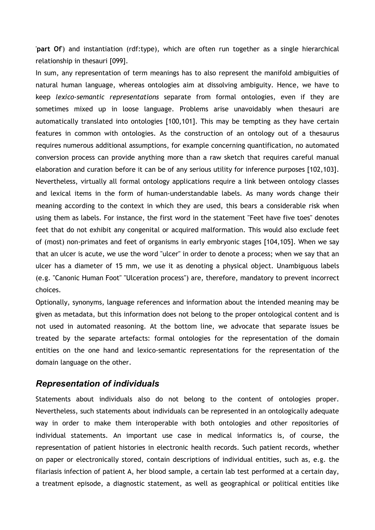'**part Of**') and instantiation (rdf:type), which are often run together as a single hierarchical relationship in thesauri [099].

In sum, any representation of term meanings has to also represent the manifold ambiguities of natural human language, whereas ontologies aim at dissolving ambiguity. Hence, we have to keep *lexico-semantic representations* separate from formal ontologies, even if they are sometimes mixed up in loose language. Problems arise unavoidably when thesauri are automatically translated into ontologies [100,101]. This may be tempting as they have certain features in common with ontologies. As the construction of an ontology out of a thesaurus requires numerous additional assumptions, for example concerning quantification, no automated conversion process can provide anything more than a raw sketch that requires careful manual elaboration and curation before it can be of any serious utility for inference purposes [102,103]. Nevertheless, virtually all formal ontology applications require a link between ontology classes and lexical items in the form of human-understandable labels. As many words change their meaning according to the context in which they are used, this bears a considerable risk when using them as labels. For instance, the first word in the statement "Feet have five toes" denotes feet that do not exhibit any congenital or acquired malformation. This would also exclude feet of (most) non-primates and feet of organisms in early embryonic stages [104,105]. When we say that an ulcer is acute, we use the word "ulcer" in order to denote a process; when we say that an ulcer has a diameter of 15 mm, we use it as denoting a physical object. Unambiguous labels (e.g. "Canonic Human Foot" "Ulceration process") are, therefore, mandatory to prevent incorrect choices.

Optionally, synonyms, language references and information about the intended meaning may be given as metadata, but this information does not belong to the proper ontological content and is not used in automated reasoning. At the bottom line, we advocate that separate issues be treated by the separate artefacts: formal ontologies for the representation of the domain entities on the one hand and lexico-semantic representations for the representation of the domain language on the other.

#### <span id="page-16-0"></span>*Representation of individuals*

Statements about individuals also do not belong to the content of ontologies proper. Nevertheless, such statements about individuals can be represented in an ontologically adequate way in order to make them interoperable with both ontologies and other repositories of individual statements. An important use case in medical informatics is, of course, the representation of patient histories in electronic health records. Such patient records, whether on paper or electronically stored, contain descriptions of individual entities, such as, e.g. the filariasis infection of patient A, her blood sample, a certain lab test performed at a certain day, a treatment episode, a diagnostic statement, as well as geographical or political entities like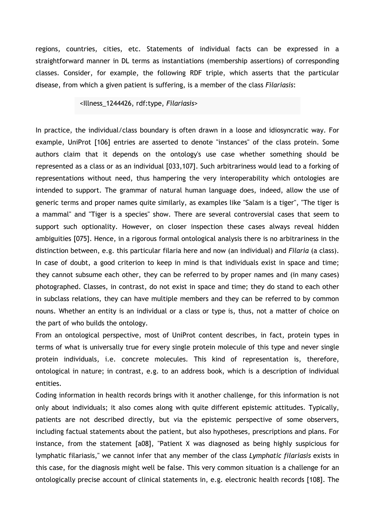regions, countries, cities, etc. Statements of individual facts can be expressed in a straightforward manner in DL terms as instantiations (membership assertions) of corresponding classes. Consider, for example, the following RDF triple, which asserts that the particular disease, from which a given patient is suffering, is a member of the class *Filariasis*:

#### <Illness\_1244426, rdf:type, *Filariasis*>

In practice, the individual/class boundary is often drawn in a loose and idiosyncratic way. For example, UniProt [106] entries are asserted to denote "instances" of the class protein. Some authors claim that it depends on the ontology's use case whether something should be represented as a class or as an individual [033,107]. Such arbitrariness would lead to a forking of representations without need, thus hampering the very interoperability which ontologies are intended to support. The grammar of natural human language does, indeed, allow the use of generic terms and proper names quite similarly, as examples like "Salam is a tiger", "The tiger is a mammal" and "Tiger is a species" show. There are several controversial cases that seem to support such optionality. However, on closer inspection these cases always reveal hidden ambiguities [075]. Hence, in a rigorous formal ontological analysis there is no arbitrariness in the distinction between, e.g. this particular filaria here and now (an individual) and *Filaria* (a class). In case of doubt, a good criterion to keep in mind is that individuals exist in space and time; they cannot subsume each other, they can be referred to by proper names and (in many cases) photographed. Classes, in contrast, do not exist in space and time; they do stand to each other in subclass relations, they can have multiple members and they can be referred to by common nouns. Whether an entity is an individual or a class or type is, thus, not a matter of choice on the part of who builds the ontology.

From an ontological perspective, most of UniProt content describes, in fact, protein types in terms of what is universally true for every single protein molecule of this type and never single protein individuals, i.e. concrete molecules. This kind of representation is, therefore, ontological in nature; in contrast, e.g. to an address book, which is a description of individual entities.

Coding information in health records brings with it another challenge, for this information is not only about individuals; it also comes along with quite different epistemic attitudes. Typically, patients are not described directly, but via the epistemic perspective of some observers, including factual statements about the patient, but also hypotheses, prescriptions and plans. For instance, from the statement [a08], "Patient X was diagnosed as being highly suspicious for lymphatic filariasis," we cannot infer that any member of the class *Lymphatic filariasis* exists in this case, for the diagnosis might well be false. This very common situation is a challenge for an ontologically precise account of clinical statements in, e.g. electronic health records [108]. The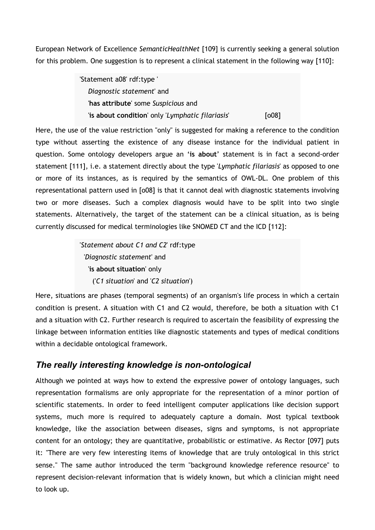European Network of Excellence *SemanticHealthNet* [109] is currently seeking a general solution for this problem. One suggestion is to represent a clinical statement in the following way [110]:

> 'Statement a08' rdf:type ' *Diagnostic statement*' and '**has attribute**' some *Suspicious* and '**is about condition**' only '*Lymphatic filariasis*' [o08]

Here, the use of the value restriction "only" is suggested for making a reference to the condition type without asserting the existence of any disease instance for the individual patient in question. Some ontology developers argue an '**is about**' statement is in fact a second-order statement [111], i.e. a statement directly about the type '*Lymphatic filariasis*' as opposed to one or more of its instances, as is required by the semantics of OWL-DL. One problem of this representational pattern used in [o08] is that it cannot deal with diagnostic statements involving two or more diseases. Such a complex diagnosis would have to be split into two single statements. Alternatively, the target of the statement can be a clinical situation, as is being currently discussed for medical terminologies like SNOMED CT and the ICD [112]:

> '*Statement about C1 and C2*' rdf:type '*Diagnostic statement*' and '**is about situation**' only ('*C1 situation*' and '*C2 situation*')

Here, situations are phases (temporal segments) of an organism's life process in which a certain condition is present. A situation with C1 and C2 would, therefore, be both a situation with C1 and a situation with C2. Further research is required to ascertain the feasibility of expressing the linkage between information entities like diagnostic statements and types of medical conditions within a decidable ontological framework.

## <span id="page-18-0"></span>*The really interesting knowledge is non-ontological*

Although we pointed at ways how to extend the expressive power of ontology languages, such representation formalisms are only appropriate for the representation of a minor portion of scientific statements. In order to feed intelligent computer applications like decision support systems, much more is required to adequately capture a domain. Most typical textbook knowledge, like the association between diseases, signs and symptoms, is not appropriate content for an ontology; they are quantitative, probabilistic or estimative. As Rector [097] puts it: "There are very few interesting items of knowledge that are truly ontological in this strict sense." The same author introduced the term "background knowledge reference resource" to represent decision-relevant information that is widely known, but which a clinician might need to look up.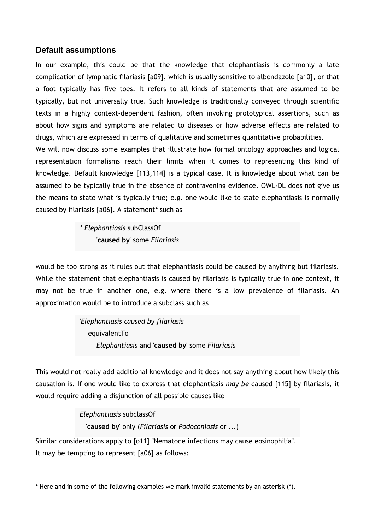#### <span id="page-19-0"></span>**Default assumptions**

-

In our example, this could be that the knowledge that elephantiasis is commonly a late complication of lymphatic filariasis [a09], which is usually sensitive to albendazole [a10], or that a foot typically has five toes. It refers to all kinds of statements that are assumed to be typically, but not universally true. Such knowledge is traditionally conveyed through scientific texts in a highly context-dependent fashion, often invoking prototypical assertions, such as about how signs and symptoms are related to diseases or how adverse effects are related to drugs, which are expressed in terms of qualitative and sometimes quantitative probabilities.

We will now discuss some examples that illustrate how formal ontology approaches and logical representation formalisms reach their limits when it comes to representing this kind of knowledge. Default knowledge [113,114] is a typical case. It is knowledge about what can be assumed to be typically true in the absence of contravening evidence. OWL-DL does not give us the means to state what is typically true; e.g. one would like to state elephantiasis is normally caused by filariasis [a06]. A statement<sup>[2](#page-19-1)</sup> such as

> *\* Elephantiasis* subClassOf '**caused by**' some *Filariasis*

would be too strong as it rules out that elephantiasis could be caused by anything but filariasis. While the statement that elephantiasis is caused by filariasis is typically true in one context, it may not be true in another one, e.g. where there is a low prevalence of filariasis. An approximation would be to introduce a subclass such as

> '*Elephantiasis caused by filariasis*' equivalentTo *Elephantiasis* and '**caused by**' some *Filariasis*

This would not really add additional knowledge and it does not say anything about how likely this causation is. If one would like to express that elephantiasis *may be* caused [115] by filariasis, it would require adding a disjunction of all possible causes like

> *Elephantiasis* subclassOf '**caused by**' only (*Filariasis* or *Podoconiosis* or ...)

Similar considerations apply to [o11] "Nematode infections may cause eosinophilia". It may be tempting to represent [a06] as follows:

<span id="page-19-1"></span><sup>&</sup>lt;sup>2</sup> Here and in some of the following examples we mark invalid statements by an asterisk (\*).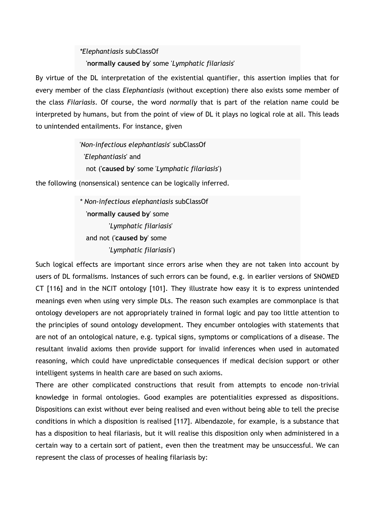*\*Elephantiasis* subClassOf '**normally caused by**' some '*Lymphatic filariasis*'

By virtue of the DL interpretation of the existential quantifier, this assertion implies that for every member of the class *Elephantiasis* (without exception) there also exists some member of the class *Filariasis*. Of course, the word *normally* that is part of the relation name could be interpreted by humans, but from the point of view of DL it plays no logical role at all. This leads to unintended entailments. For instance, given

> '*Non-infectious elephantiasis*' subClassOf '*Elephantiasis*' and not ('**caused by**' some '*Lymphatic filariasis*')

the following (nonsensical) sentence can be logically inferred.

*\* Non-infectious elephantiasis* subClassOf '**normally caused by**' some '*Lymphatic filariasis*' and not ('**caused by**' some '*Lymphatic filariasis*')

Such logical effects are important since errors arise when they are not taken into account by users of DL formalisms. Instances of such errors can be found, e.g. in earlier versions of SNOMED CT [116] and in the NCIT ontology [101]. They illustrate how easy it is to express unintended meanings even when using very simple DLs. The reason such examples are commonplace is that ontology developers are not appropriately trained in formal logic and pay too little attention to the principles of sound ontology development. They encumber ontologies with statements that are not of an ontological nature, e.g. typical signs, symptoms or complications of a disease. The resultant invalid axioms then provide support for invalid inferences when used in automated reasoning, which could have unpredictable consequences if medical decision support or other intelligent systems in health care are based on such axioms.

There are other complicated constructions that result from attempts to encode non-trivial knowledge in formal ontologies. Good examples are potentialities expressed as dispositions. Dispositions can exist without ever being realised and even without being able to tell the precise conditions in which a disposition is realised [117]. Albendazole, for example, is a substance that has a disposition to heal filariasis, but it will realise this disposition only when administered in a certain way to a certain sort of patient, even then the treatment may be unsuccessful. We can represent the class of processes of healing filariasis by: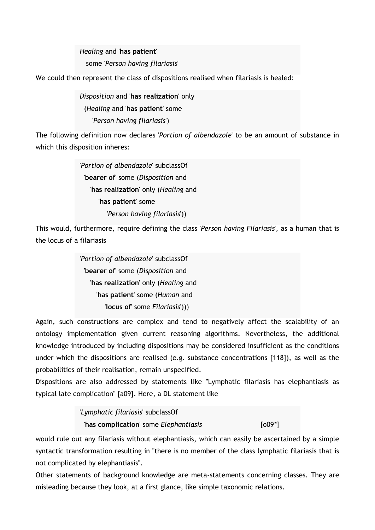*Healing* and '**has patient**' some '*Person having filariasis*'

We could then represent the class of dispositions realised when filariasis is healed:

*Disposition* and '**has realization**' only (*Healing* and '**has patient**' some '*Person having filariasis*')

The following definition now declares '*Portion of albendazole*' to be an amount of substance in which this disposition inheres:

> '*Portion of albendazole*' subclassOf '**bearer of**' some (*Disposition* and '**has realization**' only (*Healing* and '**has patient**' some '*Person having filariasis*'))

This would, furthermore, require defining the class '*Person having Filariasis*', as a human that is the locus of a filariasis

> '*Portion of albendazole*' subclassOf '**bearer of**' some (*Disposition* and '**has realization**' only (*Healing* and '**has patient**' some (*Human* and '**locus of**' some *Filariasis*')))

Again, such constructions are complex and tend to negatively affect the scalability of an ontology implementation given current reasoning algorithms. Nevertheless, the additional knowledge introduced by including dispositions may be considered insufficient as the conditions under which the dispositions are realised (e.g. substance concentrations [118]), as well as the probabilities of their realisation, remain unspecified.

Dispositions are also addressed by statements like "Lymphatic filariasis has elephantiasis as typical late complication" [a09]. Here, a DL statement like

'*Lymphatic filariasis*' subclassOf

'**has complication**' some *Elephantiasis* [o09*\**]

would rule out any filariasis without elephantiasis, which can easily be ascertained by a simple syntactic transformation resulting in "there is no member of the class lymphatic filariasis that is not complicated by elephantiasis".

Other statements of background knowledge are meta-statements concerning classes. They are misleading because they look, at a first glance, like simple taxonomic relations.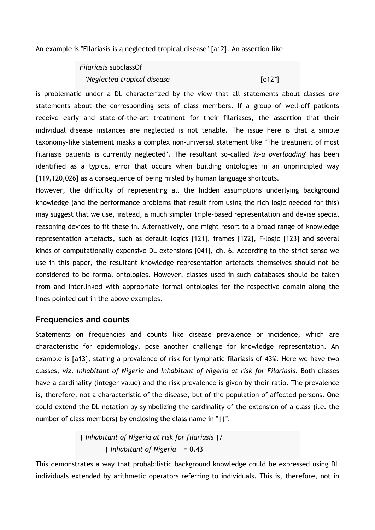An example is "Filariasis is a neglected tropical disease" [a12]. An assertion like

## *Filariasis* subclassOf '*Neglected tropical disease*' [o12*\**]

is problematic under a DL characterized by the view that all statements about classes *are*  statements about the corresponding sets of class members. If a group of well-off patients receive early and state-of-the-art treatment for their filariases, the assertion that their individual disease instances are neglected is not tenable. The issue here is that a simple taxonomy-like statement masks a complex non-universal statement like "The treatment of most filariasis patients is currently neglected". The resultant so-called '*is-a overloading*' has been identified as a typical error that occurs when building ontologies in an unprincipled way [119,120,026] as a consequence of being misled by human language shortcuts.

However, the difficulty of representing all the hidden assumptions underlying background knowledge (and the performance problems that result from using the rich logic needed for this) may suggest that we use, instead, a much simpler triple-based representation and devise special reasoning devices to fit these in. Alternatively, one might resort to a broad range of knowledge representation artefacts, such as default logics [121], frames [122], F-logic [123] and several kinds of computationally expensive DL extensions [041], ch. 6. According to the strict sense we use in this paper, the resultant knowledge representation artefacts themselves should not be considered to be formal ontologies. However, classes used in such databases should be taken from and interlinked with appropriate formal ontologies for the respective domain along the lines pointed out in the above examples.

#### <span id="page-22-0"></span>**Frequencies and counts**

Statements on frequencies and counts like disease prevalence or incidence, which are characteristic for epidemiology, pose another challenge for knowledge representation. An example is [a13], stating a prevalence of risk for lymphatic filariasis of 43%. Here we have two classes, *viz. Inhabitant of Nigeria* and *Inhabitant of Nigeria at risk for Filariasis*. Both classes have a cardinality (integer value) and the risk prevalence is given by their ratio. The prevalence is, therefore, not a characteristic of the disease, but of the population of affected persons. One could extend the DL notation by symbolizing the cardinality of the extension of a class (i.e. the number of class members) by enclosing the class name in " $||$ ".

> | *Inhabitant of Nigeria at risk for filariasis* |/ | *Inhabitant of Nigeria* | = 0.43

This demonstrates a way that probabilistic background knowledge could be expressed using DL individuals extended by arithmetic operators referring to individuals. This is, therefore, not in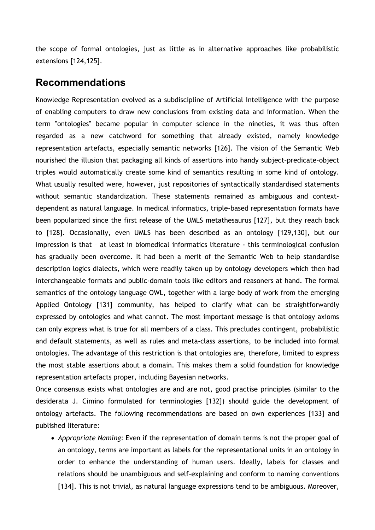the scope of formal ontologies, just as little as in alternative approaches like probabilistic extensions [124,125].

## <span id="page-23-0"></span>**Recommendations**

Knowledge Representation evolved as a subdiscipline of Artificial Intelligence with the purpose of enabling computers to draw new conclusions from existing data and information. When the term "ontologies" became popular in computer science in the nineties, it was thus often regarded as a new catchword for something that already existed, namely knowledge representation artefacts, especially semantic networks [126]. The vision of the Semantic Web nourished the illusion that packaging all kinds of assertions into handy subject–predicate–object triples would automatically create some kind of semantics resulting in some kind of ontology. What usually resulted were, however, just repositories of syntactically standardised statements without semantic standardization. These statements remained as ambiguous and contextdependent as natural language. In medical informatics, triple-based representation formats have been popularized since the first release of the UMLS metathesaurus [127], but they reach back to [128]. Occasionally, even UMLS has been described as an ontology [129,130], but our impression is that – at least in biomedical informatics literature - this terminological confusion has gradually been overcome. It had been a merit of the Semantic Web to help standardise description logics dialects, which were readily taken up by ontology developers which then had interchangeable formats and public-domain tools like editors and reasoners at hand. The formal semantics of the ontology language OWL, together with a large body of work from the emerging Applied Ontology [131] community, has helped to clarify what can be straightforwardly expressed by ontologies and what cannot. The most important message is that ontology axioms can only express what is true for all members of a class. This precludes contingent, probabilistic and default statements, as well as rules and meta-class assertions, to be included into formal ontologies. The advantage of this restriction is that ontologies are, therefore, limited to express the most stable assertions about a domain. This makes them a solid foundation for knowledge representation artefacts proper, including Bayesian networks.

Once consensus exists what ontologies are and are not, good practise principles (similar to the desiderata J. Cimino formulated for terminologies [132]) should guide the development of ontology artefacts. The following recommendations are based on own experiences [133] and published literature:

• *Appropriate Naming*: Even if the representation of domain terms is not the proper goal of an ontology, terms are important as labels for the representational units in an ontology in order to enhance the understanding of human users. Ideally, labels for classes and relations should be unambiguous and self-explaining and conform to naming conventions [134]. This is not trivial, as natural language expressions tend to be ambiguous. Moreover,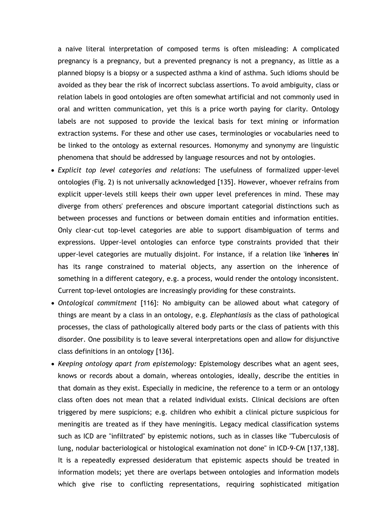a naive literal interpretation of composed terms is often misleading: A complicated pregnancy is a pregnancy, but a prevented pregnancy is not a pregnancy, as little as a planned biopsy is a biopsy or a suspected asthma a kind of asthma. Such idioms should be avoided as they bear the risk of incorrect subclass assertions. To avoid ambiguity, class or relation labels in good ontologies are often somewhat artificial and not commonly used in oral and written communication, yet this is a price worth paying for clarity. Ontology labels are not supposed to provide the lexical basis for text mining or information extraction systems. For these and other use cases, terminologies or vocabularies need to be linked to the ontology as external resources. Homonymy and synonymy are linguistic phenomena that should be addressed by language resources and not by ontologies.

- *Explicit top level categories and relations*: The usefulness of formalized upper-level ontologies (Fig. 2) is not universally acknowledged [135]. However, whoever refrains from explicit upper-levels still keeps their own upper level preferences in mind. These may diverge from others' preferences and obscure important categorial distinctions such as between processes and functions or between domain entities and information entities. Only clear-cut top-level categories are able to support disambiguation of terms and expressions. Upper-level ontologies can enforce type constraints provided that their upper-level categories are mutually disjoint. For instance, if a relation like '**inheres in**' has its range constrained to material objects, any assertion on the inherence of something in a different category, e.g. a process, would render the ontology inconsistent. Current top-level ontologies are increasingly providing for these constraints.
- *Ontological commitment* [116]: No ambiguity can be allowed about what category of things are meant by a class in an ontology, e.g. *Elephantiasis* as the class of pathological processes, the class of pathologically altered body parts or the class of patients with this disorder. One possibility is to leave several interpretations open and allow for disjunctive class definitions in an ontology [136].
- *Keeping ontology apart from epistemology:* Epistemology describes what an agent sees, knows or records about a domain, whereas ontologies, ideally, describe the entities in that domain as they exist. Especially in medicine, the reference to a term or an ontology class often does not mean that a related individual exists. Clinical decisions are often triggered by mere suspicions; e.g. children who exhibit a clinical picture suspicious for meningitis are treated as if they have meningitis. Legacy medical classification systems such as ICD are "infiltrated" by epistemic notions, such as in classes like "Tuberculosis of lung, nodular bacteriological or histological examination not done" in ICD-9-CM [137,138]. It is a repeatedly expressed desideratum that epistemic aspects should be treated in information models; yet there are overlaps between ontologies and information models which give rise to conflicting representations, requiring sophisticated mitigation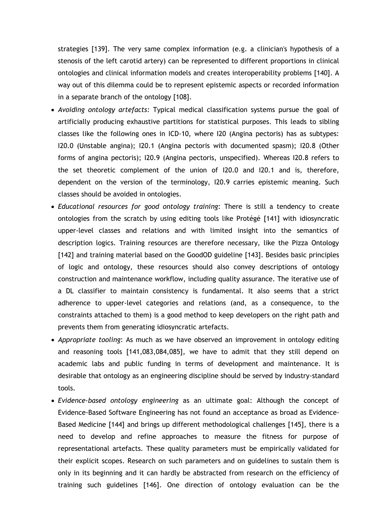strategies [139]. The very same complex information (e.g. a clinician's hypothesis of a stenosis of the left carotid artery) can be represented to different proportions in clinical ontologies and clinical information models and creates interoperability problems [140]. A way out of this dilemma could be to represent epistemic aspects or recorded information in a separate branch of the ontology [108].

- *Avoiding ontology artefacts:* Typical medical classification systems pursue the goal of artificially producing exhaustive partitions for statistical purposes. This leads to sibling classes like the following ones in ICD-10, where I20 (Angina pectoris) has as subtypes: I20.0 (Unstable angina); I20.1 (Angina pectoris with documented spasm); I20.8 (Other forms of angina pectoris); I20.9 (Angina pectoris, unspecified). Whereas I20.8 refers to the set theoretic complement of the union of I20.0 and I20.1 and is, therefore, dependent on the version of the terminology, I20.9 carries epistemic meaning. Such classes should be avoided in ontologies.
- *Educational resources for good ontology training*: There is still a tendency to create ontologies from the scratch by using editing tools like Protégé [141] with idiosyncratic upper-level classes and relations and with limited insight into the semantics of description logics. Training resources are therefore necessary, like the Pizza Ontology [142] and training material based on the GoodOD guideline [143]. Besides basic principles of logic and ontology, these resources should also convey descriptions of ontology construction and maintenance workflow, including quality assurance. The iterative use of a DL classifier to maintain consistency is fundamental. It also seems that a strict adherence to upper-level categories and relations (and, as a consequence, to the constraints attached to them) is a good method to keep developers on the right path and prevents them from generating idiosyncratic artefacts.
- *Appropriate tooling*: As much as we have observed an improvement in ontology editing and reasoning tools [141,083,084,085], we have to admit that they still depend on academic labs and public funding in terms of development and maintenance. It is desirable that ontology as an engineering discipline should be served by industry-standard tools.
- *Evidence-based ontology engineering* as an ultimate goal: Although the concept of Evidence-Based Software Engineering has not found an acceptance as broad as Evidence-Based Medicine [144] and brings up different methodological challenges [145], there is a need to develop and refine approaches to measure the fitness for purpose of representational artefacts. These quality parameters must be empirically validated for their explicit scopes. Research on such parameters and on guidelines to sustain them is only in its beginning and it can hardly be abstracted from research on the efficiency of training such guidelines [146]. One direction of ontology evaluation can be the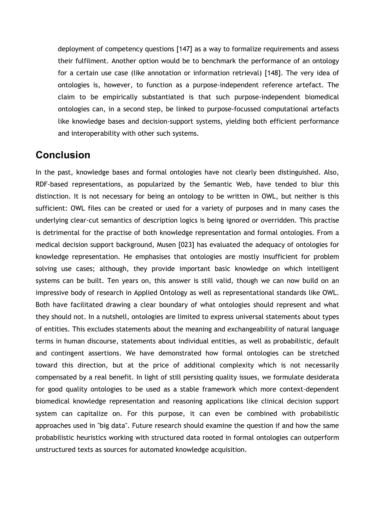deployment of competency questions [147] as a way to formalize requirements and assess their fulfilment. Another option would be to benchmark the performance of an ontology for a certain use case (like annotation or information retrieval) [148]. The very idea of ontologies is, however, to function as a purpose-independent reference artefact. The claim to be empirically substantiated is that such purpose-independent biomedical ontologies can, in a second step, be linked to purpose-focussed computational artefacts like knowledge bases and decision-support systems, yielding both efficient performance and interoperability with other such systems.

## <span id="page-26-0"></span>**Conclusion**

In the past, knowledge bases and formal ontologies have not clearly been distinguished. Also, RDF-based representations, as popularized by the Semantic Web, have tended to blur this distinction. It is not necessary for being an ontology to be written in OWL, but neither is this sufficient: OWL files can be created or used for a variety of purposes and in many cases the underlying clear-cut semantics of description logics is being ignored or overridden. This practise is detrimental for the practise of both knowledge representation and formal ontologies. From a medical decision support background, Musen [023] has evaluated the adequacy of ontologies for knowledge representation. He emphasises that ontologies are mostly insufficient for problem solving use cases; although, they provide important basic knowledge on which intelligent systems can be built. Ten years on, this answer is still valid, though we can now build on an impressive body of research in Applied Ontology as well as representational standards like OWL. Both have facilitated drawing a clear boundary of what ontologies should represent and what they should not. In a nutshell, ontologies are limited to express universal statements about types of entities. This excludes statements about the meaning and exchangeability of natural language terms in human discourse, statements about individual entities, as well as probabilistic, default and contingent assertions. We have demonstrated how formal ontologies can be stretched toward this direction, but at the price of additional complexity which is not necessarily compensated by a real benefit. In light of still persisting quality issues, we formulate desiderata for good quality ontologies to be used as a stable framework which more context-dependent biomedical knowledge representation and reasoning applications like clinical decision support system can capitalize on. For this purpose, it can even be combined with probabilistic approaches used in "big data". Future research should examine the question if and how the same probabilistic heuristics working with structured data rooted in formal ontologies can outperform unstructured texts as sources for automated knowledge acquisition.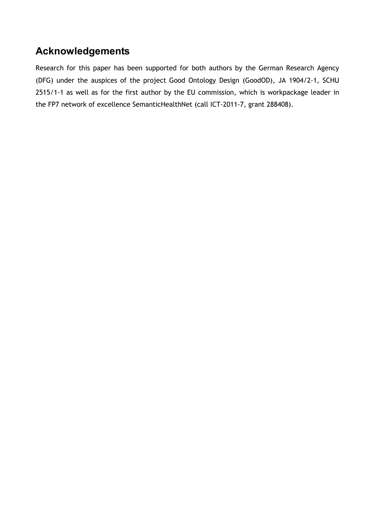# <span id="page-27-0"></span>**Acknowledgements**

Research for this paper has been supported for both authors by the German Research Agency (DFG) under the auspices of the project Good Ontology Design (GoodOD), JA 1904/2-1, SCHU 2515/1-1 as well as for the first author by the EU commission, which is workpackage leader in the FP7 network of excellence SemanticHealthNet (call ICT-2011-7, grant 288408).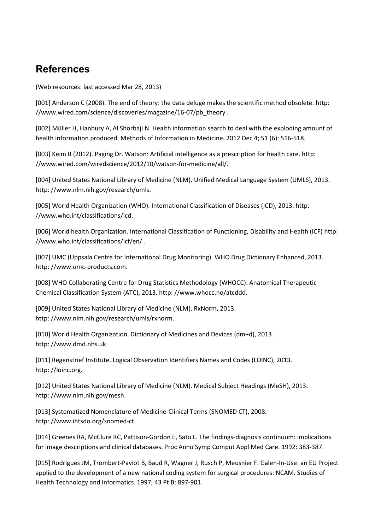# <span id="page-28-0"></span>**References**

(Web resources: last accessed Mar 28, 2013)

[001] Anderson C (2008). The end of theory: the data deluge makes the scientific method obsolete. http: //www.wired.com/science/discoveries/magazine/16-07/pb\_theory .

[002] Müller H, Hanbury A, Al Shorbaji N. Health information search to deal with the exploding amount of health information produced. Methods of Information in Medicine. 2012 Dec 4; 51 (6): 516-518.

[003] Keim B (2012). Paging Dr. Watson: Artificial intelligence as a prescription for health care. http: //www.wired.com/wiredscience/2012/10/watson-for-medicine/all/.

[004] United States National Library of Medicine (NLM). Unified Medical Language System (UMLS), 2013. http: //www.nlm.nih.gov/research/umls.

[005] World Health Organization (WHO). International Classification of Diseases (ICD), 2013. http: //www.who.int/classifications/icd.

[006] World health Organization. International Classification of Functioning, Disability and Health (ICF) http: //www.who.int/classifications/icf/en/ .

[007] UMC (Uppsala Centre for International Drug Monitoring). WHO Drug Dictionary Enhanced, 2013. http: //www.umc-products.com.

[008] WHO Collaborating Centre for Drug Statistics Methodology (WHOCC). Anatomical Therapeutic Chemical Classification System (ATC), 2013. http: //www.whocc.no/atcddd.

[009] United States National Library of Medicine (NLM). RxNorm, 2013. http: //www.nlm.nih.gov/research/umls/rxnorm.

[010] World Health Organization. Dictionary of Medicines and Devices (dm+d), 2013. http: //www.dmd.nhs.uk.

[011] Regenstrief Institute. Logical Observation Identifiers Names and Codes (LOINC), 2013. http: //loinc.org.

[012] United States National Library of Medicine (NLM). Medical Subject Headings (MeSH), 2013. http: //www.nlm.nih.gov/mesh.

[013] Systematized Nomenclature of Medicine-Clinical Terms (SNOMED CT), 2008. http: //www.ihtsdo.org/snomed-ct.

[014] Greenes RA, McClure RC, Pattison-Gordon E, Sato L. The findings-diagnosis continuum: implications for image descriptions and clinical databases. Proc Annu Symp Comput Appl Med Care. 1992: 383-387.

[015] Rodrigues JM, Trombert-Paviot B, Baud R, Wagner J, Rusch P, Meusnier F. Galen-In-Use: an EU Project applied to the development of a new national coding system for surgical procedures: NCAM. Studies of Health Technology and Informatics. 1997; 43 Pt B: 897-901.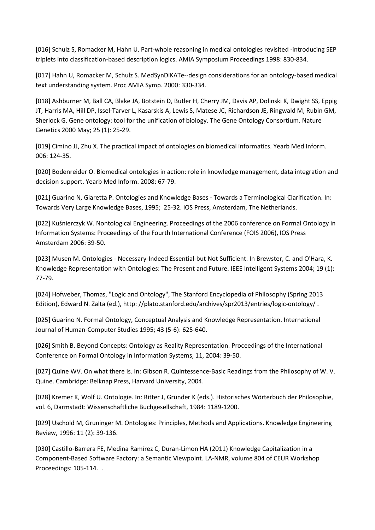[016] Schulz S, Romacker M, Hahn U. Part-whole reasoning in medical ontologies revisited -introducing SEP triplets into classification-based description logics. AMIA Symposium Proceedings 1998: 830-834.

[017] Hahn U, Romacker M, Schulz S. MedSynDiKATe--design considerations for an ontology-based medical text understanding system. Proc AMIA Symp. 2000: 330-334.

[018] Ashburner M, Ball CA, Blake JA, Botstein D, Butler H, Cherry JM, Davis AP, Dolinski K, Dwight SS, Eppig JT, Harris MA, Hill DP, Issel-Tarver L, Kasarskis A, Lewis S, Matese JC, Richardson JE, Ringwald M, Rubin GM, Sherlock G. Gene ontology: tool for the unification of biology. The Gene Ontology Consortium. Nature Genetics 2000 May; 25 (1): 25-29.

[019] Cimino JJ, Zhu X. The practical impact of ontologies on biomedical informatics. Yearb Med Inform. 006: 124-35.

[020] Bodenreider O. Biomedical ontologies in action: role in knowledge management, data integration and decision support. Yearb Med Inform. 2008: 67-79.

[021] Guarino N, Giaretta P. Ontologies and Knowledge Bases - Towards a Terminological Clarification. In: Towards Very Large Knowledge Bases, 1995; 25-32. IOS Press, Amsterdam, The Netherlands.

[022] Kuśnierczyk W. Nontological Engineering. Proceedings of the 2006 conference on Formal Ontology in Information Systems: Proceedings of the Fourth International Conference (FOIS 2006), IOS Press Amsterdam 2006: 39-50.

[023] Musen M. Ontologies - Necessary-Indeed Essential-but Not Sufficient. In Brewster, C. and O'Hara, K. Knowledge Representation with Ontologies: The Present and Future. IEEE Intelligent Systems 2004; 19 (1): 77-79.

[024] Hofweber, Thomas, "Logic and Ontology", The Stanford Encyclopedia of Philosophy (Spring 2013 Edition), Edward N. Zalta (ed.), http: //plato.stanford.edu/archives/spr2013/entries/logic-ontology/ .

[025] Guarino N. Formal Ontology, Conceptual Analysis and Knowledge Representation. International Journal of Human-Computer Studies 1995; 43 (5-6): 625-640.

[026] Smith B. Beyond Concepts: Ontology as Reality Representation. Proceedings of the International Conference on Formal Ontology in Information Systems, 11, 2004: 39-50.

[027] Quine WV. On what there is. In: Gibson R. Quintessence-Basic Readings from the Philosophy of W. V. Quine. Cambridge: Belknap Press, Harvard University, 2004.

[028] Kremer K, Wolf U. Ontologie. In: Ritter J, Gründer K (eds.). Historisches Wörterbuch der Philosophie, vol. 6, Darmstadt: Wissenschaftliche Buchgesellschaft, 1984: 1189-1200.

[029] Uschold M, Gruninger M. Ontologies: Principles, Methods and Applications. Knowledge Engineering Review, 1996: 11 (2): 39-136.

[030] Castillo-Barrera FE, Medina Ramírez C, Duran-Limon HA (2011) Knowledge Capitalization in a Component-Based Software Factory: a Semantic Viewpoint. LA-NMR, volume 804 of CEUR Workshop Proceedings: 105-114. .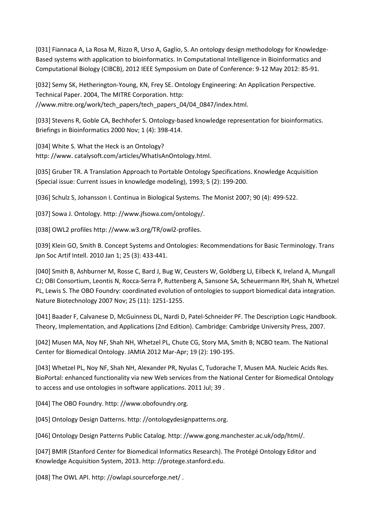[031] Fiannaca A, La Rosa M, Rizzo R, Urso A, Gaglio, S. An ontology design methodology for Knowledge-Based systems with application to bioinformatics. In Computational Intelligence in Bioinformatics and Computational Biology (CIBCB), 2012 IEEE Symposium on Date of Conference: 9-12 May 2012: 85-91.

[032] Semy SK, Hetherington-Young, KN, Frey SE. Ontology Engineering: An Application Perspective. Technical Paper. 2004, The MITRE Corporation. http: //www.mitre.org/work/tech\_papers/tech\_papers\_04/04\_0847/index.html.

[033] Stevens R, Goble CA, Bechhofer S. Ontology-based knowledge representation for bioinformatics. Briefings in Bioinformatics 2000 Nov; 1 (4): 398-414.

[034] White S. What the Heck is an Ontology? http: //www. catalysoft.com/articles/WhatIsAnOntology.html.

[035] Gruber TR. A Translation Approach to Portable Ontology Specifications. Knowledge Acquisition (Special issue: Current issues in knowledge modeling), 1993; 5 (2): 199-200.

[036] Schulz S, Johansson I. Continua in Biological Systems. The Monist 2007; 90 (4): 499-522.

[037] Sowa J. Ontology. http: //www.jfsowa.com/ontology/.

[038] OWL2 profiles http: //www.w3.org/TR/owl2-profiles.

[039] Klein GO, Smith B. Concept Systems and Ontologies: Recommendations for Basic Terminology. Trans Jpn Soc Artif Intell. 2010 Jan 1; 25 (3): 433-441.

[040] Smith B, Ashburner M, Rosse C, Bard J, Bug W, Ceusters W, Goldberg LJ, Eilbeck K, Ireland A, Mungall CJ; OBI Consortium, Leontis N, Rocca-Serra P, Ruttenberg A, Sansone SA, Scheuermann RH, Shah N, Whetzel PL, Lewis S. The OBO Foundry: coordinated evolution of ontologies to support biomedical data integration. Nature Biotechnology 2007 Nov; 25 (11): 1251-1255.

[041] Baader F, Calvanese D, McGuinness DL, Nardi D, Patel-Schneider PF. The Description Logic Handbook. Theory, Implementation, and Applications (2nd Edition). Cambridge: Cambridge University Press, 2007.

[042] Musen MA, Noy NF, Shah NH, Whetzel PL, Chute CG, Story MA, Smith B; NCBO team. The National Center for Biomedical Ontology. JAMIA 2012 Mar-Apr; 19 (2): 190-195.

[043] Whetzel PL, Noy NF, Shah NH, Alexander PR, Nyulas C, Tudorache T, Musen MA. Nucleic Acids Res. BioPortal: enhanced functionality via new Web services from the National Center for Biomedical Ontology to access and use ontologies in software applications. 2011 Jul; 39 .

[044] The OBO Foundry. http: //www.obofoundry.org.

[045] Ontology Design Datterns. http: //ontologydesignpatterns.org.

[046] Ontology Design Patterns Public Catalog. http: //www.gong.manchester.ac.uk/odp/html/.

[047] BMIR (Stanford Center for Biomedical Informatics Research). The Protégé Ontology Editor and Knowledge Acquisition System, 2013. http: //protege.stanford.edu.

[048] The OWL API. http: //owlapi.sourceforge.net/ .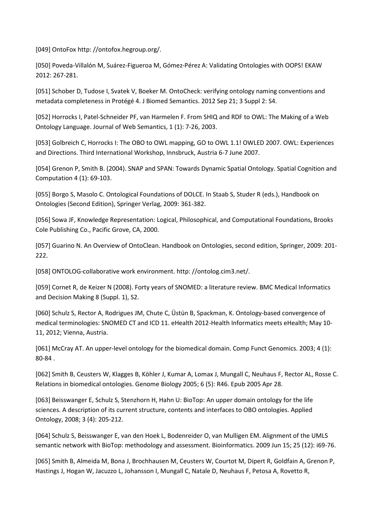[049] OntoFox http: //ontofox.hegroup.org/.

[050] Poveda-Villalón M, Suárez-Figueroa M, Gómez-Pérez A: Validating Ontologies with OOPS! EKAW 2012: 267-281.

[051] Schober D, Tudose I, Svatek V, Boeker M. OntoCheck: verifying ontology naming conventions and metadata completeness in Protégé 4. J Biomed Semantics. 2012 Sep 21; 3 Suppl 2: S4.

[052] Horrocks I, Patel-Schneider PF, van Harmelen F. From SHIQ and RDF to OWL: The Making of a Web Ontology Language. Journal of Web Semantics, 1 (1): 7-26, 2003.

[053] Golbreich C, Horrocks I: The OBO to OWL mapping, GO to OWL 1.1! OWLED 2007. OWL: Experiences and Directions. Third International Workshop, Innsbruck, Austria 6-7 June 2007.

[054] Grenon P, Smith B. (2004). SNAP and SPAN: Towards Dynamic Spatial Ontology. Spatial Cognition and Computation 4 (1): 69-103.

[055] Borgo S, Masolo C. Ontological Foundations of DOLCE. In Staab S, Studer R (eds.), Handbook on Ontologies (Second Edition), Springer Verlag, 2009: 361-382.

[056] Sowa JF, Knowledge Representation: Logical, Philosophical, and Computational Foundations, Brooks Cole Publishing Co., Pacific Grove, CA, 2000.

[057] Guarino N. An Overview of OntoClean. Handbook on Ontologies, second edition, Springer, 2009: 201- 222.

[058] ONTOLOG-collaborative work environment. http: //ontolog.cim3.net/.

[059] Cornet R, de Keizer N (2008). Forty years of SNOMED: a literature review. BMC Medical Informatics and Decision Making 8 (Suppl. 1), S2.

[060] Schulz S, Rector A, Rodrigues JM, Chute C, Üstün B, Spackman, K. Ontology-based convergence of medical terminologies: SNOMED CT and ICD 11. eHealth 2012-Health Informatics meets eHealth; May 10- 11, 2012; Vienna, Austria.

[061] McCray AT. An upper-level ontology for the biomedical domain. Comp Funct Genomics. 2003; 4 (1): 80-84 .

[062] Smith B, Ceusters W, Klagges B, Köhler J, Kumar A, Lomax J, Mungall C, Neuhaus F, Rector AL, Rosse C. Relations in biomedical ontologies. Genome Biology 2005; 6 (5): R46. Epub 2005 Apr 28.

[063] Beisswanger E, Schulz S, Stenzhorn H, Hahn U: BioTop: An upper domain ontology for the life sciences. A description of its current structure, contents and interfaces to OBO ontologies. Applied Ontology, 2008; 3 (4): 205-212.

[064] Schulz S, Beisswanger E, van den Hoek L, Bodenreider O, van Mulligen EM. Alignment of the UMLS semantic network with BioTop: methodology and assessment. Bioinformatics. 2009 Jun 15; 25 (12): i69-76.

[065] Smith B, Almeida M, Bona J, Brochhausen M, Ceusters W, Courtot M, Dipert R, Goldfain A, Grenon P, Hastings J, Hogan W, Jacuzzo L, Johansson I, Mungall C, Natale D, Neuhaus F, Petosa A, Rovetto R,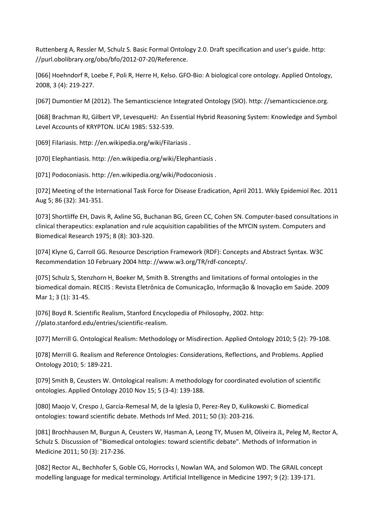Ruttenberg A, Ressler M, Schulz S. Basic Formal Ontology 2.0. Draft specification and user's guide. http: //purl.obolibrary.org/obo/bfo/2012-07-20/Reference.

[066] Hoehndorf R, Loebe F, Poli R, Herre H, Kelso. GFO-Bio: A biological core ontology. Applied Ontology, 2008, 3 (4): 219-227.

[067] Dumontier M (2012). The Semanticscience Integrated Ontology (SIO). http: //semanticscience.org.

[068] Brachman RJ, Gilbert VP, LevesqueHJ: An Essential Hybrid Reasoning System: Knowledge and Symbol Level Accounts of KRYPTON. IJCAI 1985: 532-539.

[069] Filariasis. http: //en.wikipedia.org/wiki/Filariasis .

[070] Elephantiasis. http: //en.wikipedia.org/wiki/Elephantiasis .

[071] Podoconiasis. http: //en.wikipedia.org/wiki/Podoconiosis .

[072] Meeting of the International Task Force for Disease Eradication, April 2011. Wkly Epidemiol Rec. 2011 Aug 5; 86 (32): 341-351.

[073] Shortliffe EH, Davis R, Axline SG, Buchanan BG, Green CC, Cohen SN. Computer-based consultations in clinical therapeutics: explanation and rule acquisition capabilities of the MYCIN system. Computers and Biomedical Research 1975; 8 (8): 303-320.

[074] Klyne G, Carroll GG. Resource Description Framework (RDF): Concepts and Abstract Syntax. W3C Recommendation 10 February 2004 http: //www.w3.org/TR/rdf-concepts/.

[075] Schulz S, Stenzhorn H, Boeker M, Smith B. Strengths and limitations of formal ontologies in the biomedical domain. RECIIS : Revista Eletrônica de Comunicação, Informação & Inovação em Saúde. 2009 Mar 1; 3 (1): 31-45.

[076] Boyd R. Scientific Realism, Stanford Encyclopedia of Philosophy, 2002. http: //plato.stanford.edu/entries/scientific-realism.

[077] Merrill G. Ontological Realism: Methodology or Misdirection. Applied Ontology 2010; 5 (2): 79-108.

[078] Merrill G. Realism and Reference Ontologies: Considerations, Reflections, and Problems. Applied Ontology 2010; 5: 189-221.

[079] Smith B, Ceusters W. Ontological realism: A methodology for coordinated evolution of scientific ontologies. Applied Ontology 2010 Nov 15; 5 (3-4): 139-188.

[080] Maojo V, Crespo J, García-Remesal M, de la Iglesia D, Perez-Rey D, Kulikowski C. Biomedical ontologies: toward scientific debate. Methods Inf Med. 2011; 50 (3): 203-216.

[081] Brochhausen M, Burgun A, Ceusters W, Hasman A, Leong TY, Musen M, Oliveira JL, Peleg M, Rector A, Schulz S. Discussion of "Biomedical ontologies: toward scientific debate". Methods of Information in Medicine 2011; 50 (3): 217-236.

[082] Rector AL, Bechhofer S, Goble CG, Horrocks I, Nowlan WA, and Solomon WD. The GRAIL concept modelling language for medical terminology. Artificial Intelligence in Medicine 1997; 9 (2): 139-171.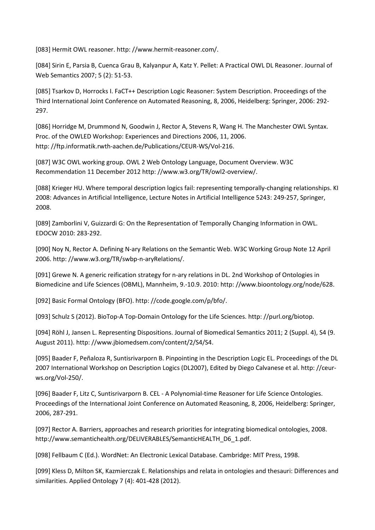[083] Hermit OWL reasoner. http: //www.hermit-reasoner.com/.

[084] Sirin E, Parsia B, Cuenca Grau B, Kalyanpur A, Katz Y. Pellet: A Practical OWL DL Reasoner. Journal of Web Semantics 2007; 5 (2): 51-53.

[085] Tsarkov D, Horrocks I. FaCT++ Description Logic Reasoner: System Description. Proceedings of the Third International Joint Conference on Automated Reasoning, 8, 2006, Heidelberg: Springer, 2006: 292- 297.

[086] Horridge M, Drummond N, Goodwin J, Rector A, Stevens R, Wang H. The Manchester OWL Syntax. Proc. of the OWLED Workshop: Experiences and Directions 2006, 11, 2006. http: //ftp.informatik.rwth-aachen.de/Publications/CEUR-WS/Vol-216.

[087] W3C OWL working group. OWL 2 Web Ontology Language, Document Overview. W3C Recommendation 11 December 2012 http: //www.w3.org/TR/owl2-overview/.

[088] Krieger HU. Where temporal description logics fail: representing temporally-changing relationships. KI 2008: Advances in Artificial Intelligence, Lecture Notes in Artificial Intelligence 5243: 249-257, Springer, 2008.

[089] Zamborlini V, Guizzardi G: On the Representation of Temporally Changing Information in OWL. EDOCW 2010: 283-292.

[090] Noy N, Rector A. Defining N-ary Relations on the Semantic Web. W3C Working Group Note 12 April 2006. http: //www.w3.org/TR/swbp-n-aryRelations/.

[091] Grewe N. A generic reification strategy for n-ary relations in DL. 2nd Workshop of Ontologies in Biomedicine and Life Sciences (OBML), Mannheim, 9.-10.9. 2010: http: //www.bioontology.org/node/628.

[092] Basic Formal Ontology (BFO). http: //code.google.com/p/bfo/.

[093] Schulz S (2012). BioTop-A Top-Domain Ontology for the Life Sciences. http: //purl.org/biotop.

[094] Röhl J, Jansen L. Representing Dispositions. Journal of Biomedical Semantics 2011; 2 (Suppl. 4), S4 (9. August 2011). http: //www.jbiomedsem.com/content/2/S4/S4.

[095] Baader F, Peñaloza R, Suntisrivarporn B. Pinpointing in the Description Logic EL. Proceedings of the DL 2007 International Workshop on Description Logics (DL2007), Edited by Diego Calvanese et al. http: //ceurws.org/Vol-250/.

[096] Baader F, Litz C, Suntisrivarporn B. CEL - A Polynomial-time Reasoner for Life Science Ontologies. Proceedings of the International Joint Conference on Automated Reasoning, 8, 2006, Heidelberg: Springer, 2006, 287-291.

[097] Rector A. Barriers, approaches and research priorities for integrating biomedical ontologies, 2008. http://www.semantichealth.org/DELIVERABLES/SemanticHEALTH\_D6\_1.pdf.

[098] Fellbaum C (Ed.). WordNet: An Electronic Lexical Database. Cambridge: MIT Press, 1998.

[099] Kless D, Milton SK, Kazmierczak E. Relationships and relata in ontologies and thesauri: Differences and similarities. Applied Ontology 7 (4): 401-428 (2012).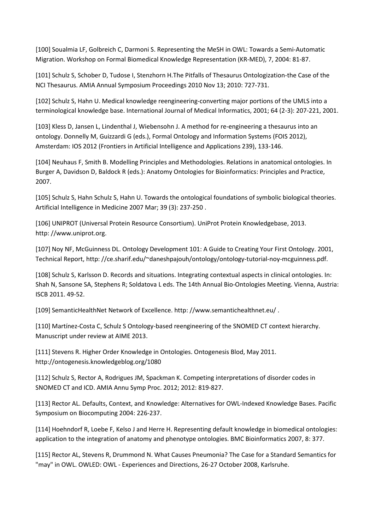[100] Soualmia LF, Golbreich C, Darmoni S. Representing the MeSH in OWL: Towards a Semi-Automatic Migration. Workshop on Formal Biomedical Knowledge Representation (KR-MED), 7, 2004: 81-87.

[101] Schulz S, Schober D, Tudose I, Stenzhorn H.The Pitfalls of Thesaurus Ontologization-the Case of the NCI Thesaurus. AMIA Annual Symposium Proceedings 2010 Nov 13; 2010: 727-731.

[102] Schulz S, Hahn U. Medical knowledge reengineering-converting major portions of the UMLS into a terminological knowledge base. International Journal of Medical Informatics, 2001; 64 (2-3): 207-221, 2001.

[103] Kless D, Jansen L, Lindenthal J, Wiebensohn J. A method for re-engineering a thesaurus into an ontology. Donnelly M, Guizzardi G (eds.), Formal Ontology and Information Systems (FOIS 2012), Amsterdam: IOS 2012 (Frontiers in Artificial Intelligence and Applications 239), 133-146.

[104] Neuhaus F, Smith B. Modelling Principles and Methodologies. Relations in anatomical ontologies. In Burger A, Davidson D, Baldock R (eds.): Anatomy Ontologies for Bioinformatics: Principles and Practice, 2007.

[105] Schulz S, Hahn Schulz S, Hahn U. Towards the ontological foundations of symbolic biological theories. Artificial Intelligence in Medicine 2007 Mar; 39 (3): 237-250 .

[106] UNIPROT (Universal Protein Resource Consortium). UniProt Protein Knowledgebase, 2013. http: //www.uniprot.org.

[107] Noy NF, McGuinness DL. Ontology Development 101: A Guide to Creating Your First Ontology. 2001, Technical Report, http: //ce.sharif.edu/~daneshpajouh/ontology/ontology-tutorial-noy-mcguinness.pdf.

[108] Schulz S, Karlsson D. Records and situations. Integrating contextual aspects in clinical ontologies. In: Shah N, Sansone SA, Stephens R; Soldatova L eds. The 14th Annual Bio-Ontologies Meeting. Vienna, Austria: ISCB 2011. 49-52.

[109] SemanticHealthNet Network of Excellence. http: //www.semantichealthnet.eu/ .

[110] Martínez-Costa C, Schulz S Ontology-based reengineering of the SNOMED CT context hierarchy. Manuscript under review at AIME 2013.

[111] Stevens R. Higher Order Knowledge in Ontologies. Ontogenesis Blod, May 2011. http://ontogenesis.knowledgeblog.org/1080

[112] Schulz S, Rector A, Rodrigues JM, Spackman K. Competing interpretations of disorder codes in SNOMED CT and ICD. AMIA Annu Symp Proc. 2012; 2012: 819-827.

[113] Rector AL. Defaults, Context, and Knowledge: Alternatives for OWL-Indexed Knowledge Bases. Pacific Symposium on Biocomputing 2004: 226-237.

[114] Hoehndorf R, Loebe F, Kelso J and Herre H. Representing default knowledge in biomedical ontologies: application to the integration of anatomy and phenotype ontologies. BMC Bioinformatics 2007, 8: 377.

[115] Rector AL, Stevens R, Drummond N. What Causes Pneumonia? The Case for a Standard Semantics for "may" in OWL. OWLED: OWL - Experiences and Directions, 26-27 October 2008, Karlsruhe.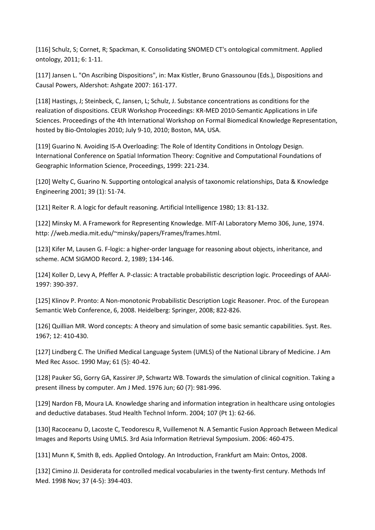[116] Schulz, S; Cornet, R; Spackman, K. Consolidating SNOMED CT's ontological commitment. Applied ontology, 2011; 6: 1-11.

[117] Jansen L. "On Ascribing Dispositions", in: Max Kistler, Bruno Gnassounou (Eds.), Dispositions and Causal Powers, Aldershot: Ashgate 2007: 161-177.

[118] Hastings, J; Steinbeck, C, Jansen, L; Schulz, J. Substance concentrations as conditions for the realization of dispositions. CEUR Workshop Proceedings: KR-MED 2010-Semantic Applications in Life Sciences. Proceedings of the 4th International Workshop on Formal Biomedical Knowledge Representation, hosted by Bio-Ontologies 2010; July 9-10, 2010; Boston, MA, USA.

[119] Guarino N. Avoiding IS-A Overloading: The Role of Identity Conditions in Ontology Design. International Conference on Spatial Information Theory: Cognitive and Computational Foundations of Geographic Information Science, Proceedings, 1999: 221-234.

[120] Welty C, Guarino N. Supporting ontological analysis of taxonomic relationships, Data & Knowledge Engineering 2001; 39 (1): 51-74.

[121] Reiter R. A logic for default reasoning. Artificial Intelligence 1980; 13: 81-132.

[122] Minsky M. A Framework for Representing Knowledge. MIT-AI Laboratory Memo 306, June, 1974. http: //web.media.mit.edu/~minsky/papers/Frames/frames.html.

[123] Kifer M, Lausen G. F-logic: a higher-order language for reasoning about objects, inheritance, and scheme. ACM SIGMOD Record. 2, 1989; 134-146.

[124] Koller D, Levy A, Pfeffer A. P-classic: A tractable probabilistic description logic. Proceedings of AAAI-1997: 390-397.

[125] Klinov P. Pronto: A Non-monotonic Probabilistic Description Logic Reasoner. Proc. of the European Semantic Web Conference, 6, 2008. Heidelberg: Springer, 2008; 822-826.

[126] Quillian MR. Word concepts: A theory and simulation of some basic semantic capabilities. Syst. Res. 1967; 12: 410-430.

[127] Lindberg C. The Unified Medical Language System (UMLS) of the National Library of Medicine. J Am Med Rec Assoc. 1990 May; 61 (5): 40-42.

[128] Pauker SG, Gorry GA, Kassirer JP, Schwartz WB. Towards the simulation of clinical cognition. Taking a present illness by computer. Am J Med. 1976 Jun; 60 (7): 981-996.

[129] Nardon FB, Moura LA. Knowledge sharing and information integration in healthcare using ontologies and deductive databases. Stud Health Technol Inform. 2004; 107 (Pt 1): 62-66.

[130] Racoceanu D, Lacoste C, Teodorescu R, Vuillemenot N. A Semantic Fusion Approach Between Medical Images and Reports Using UMLS. 3rd Asia Information Retrieval Symposium. 2006: 460-475.

[131] Munn K, Smith B, eds. Applied Ontology. An Introduction, Frankfurt am Main: Ontos, 2008.

[132] Cimino JJ. Desiderata for controlled medical vocabularies in the twenty-first century. Methods Inf Med. 1998 Nov; 37 (4-5): 394-403.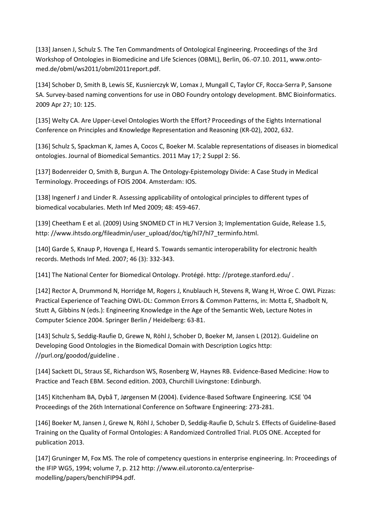[133] Jansen J, Schulz S. The Ten Commandments of Ontological Engineering. Proceedings of the 3rd Workshop of Ontologies in Biomedicine and Life Sciences (OBML), Berlin, 06.-07.10. 2011, www.ontomed.de/obml/ws2011/obml2011report.pdf.

[134] Schober D, Smith B, Lewis SE, Kusnierczyk W, Lomax J, Mungall C, Taylor CF, Rocca-Serra P, Sansone SA. Survey-based naming conventions for use in OBO Foundry ontology development. BMC Bioinformatics. 2009 Apr 27; 10: 125.

[135] Welty CA. Are Upper-Level Ontologies Worth the Effort? Proceedings of the Eights International Conference on Principles and Knowledge Representation and Reasoning (KR-02), 2002, 632.

[136] Schulz S, Spackman K, James A, Cocos C, Boeker M. Scalable representations of diseases in biomedical ontologies. Journal of Biomedical Semantics. 2011 May 17; 2 Suppl 2: S6.

[137] Bodenreider O, Smith B, Burgun A. The Ontology-Epistemology Divide: A Case Study in Medical Terminology. Proceedings of FOIS 2004. Amsterdam: IOS.

[138] Ingenerf J and Linder R. Assessing applicability of ontological principles to different types of biomedical vocabularies. Meth Inf Med 2009; 48: 459-467.

[139] Cheetham E et al. (2009) Using SNOMED CT in HL7 Version 3; Implementation Guide, Release 1.5, http: //www.ihtsdo.org/fileadmin/user\_upload/doc/tig/hl7/hl7\_terminfo.html.

[140] Garde S, Knaup P, Hovenga E, Heard S. Towards semantic interoperability for electronic health records. Methods Inf Med. 2007; 46 (3): 332-343.

[141] The National Center for Biomedical Ontology. Protégé. http: //protege.stanford.edu/ .

[142] Rector A, Drummond N, Horridge M, Rogers J, Knublauch H, Stevens R, Wang H, Wroe C. OWL Pizzas: Practical Experience of Teaching OWL-DL: Common Errors & Common Patterns, in: Motta E, Shadbolt N, Stutt A, Gibbins N (eds.): Engineering Knowledge in the Age of the Semantic Web, Lecture Notes in Computer Science 2004. Springer Berlin / Heidelberg: 63-81.

[143] Schulz S, Seddig-Raufie D, Grewe N, Röhl J, Schober D, Boeker M, Jansen L (2012). Guideline on Developing Good Ontologies in the Biomedical Domain with Description Logics http: //purl.org/goodod/guideline .

[144] Sackett DL, Straus SE, Richardson WS, Rosenberg W, Haynes RB. Evidence-Based Medicine: How to Practice and Teach EBM. Second edition. 2003, Churchill Livingstone: Edinburgh.

[145] Kitchenham BA, Dybå T, Jørgensen M (2004). Evidence-Based Software Engineering. ICSE '04 Proceedings of the 26th International Conference on Software Engineering: 273-281.

[146] Boeker M, Jansen J, Grewe N, Röhl J, Schober D, Seddig-Raufie D, Schulz S. Effects of Guideline-Based Training on the Quality of Formal Ontologies: A Randomized Controlled Trial. PLOS ONE. Accepted for publication 2013.

[147] Gruninger M, Fox MS. The role of competency questions in enterprise engineering. In: Proceedings of the IFIP WG5, 1994; volume 7, p. 212 http: //www.eil.utoronto.ca/enterprisemodelling/papers/benchIFIP94.pdf.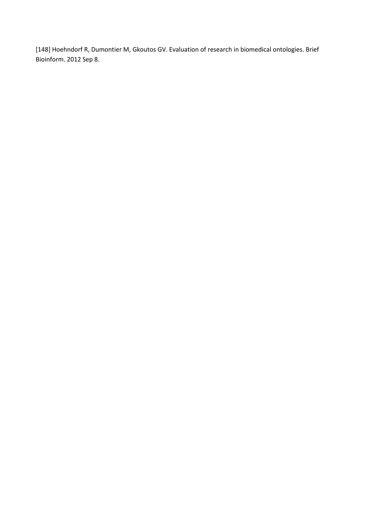[148] Hoehndorf R, Dumontier M, Gkoutos GV. Evaluation of research in biomedical ontologies. Brief Bioinform. 2012 Sep 8.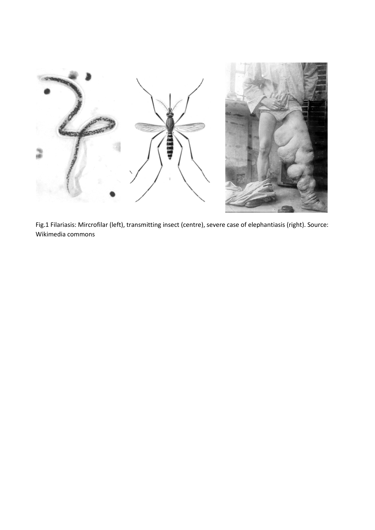

Fig.1 Filariasis: Mircrofilar (left), transmitting insect (centre), severe case of elephantiasis (right). Source: Wikimedia commons